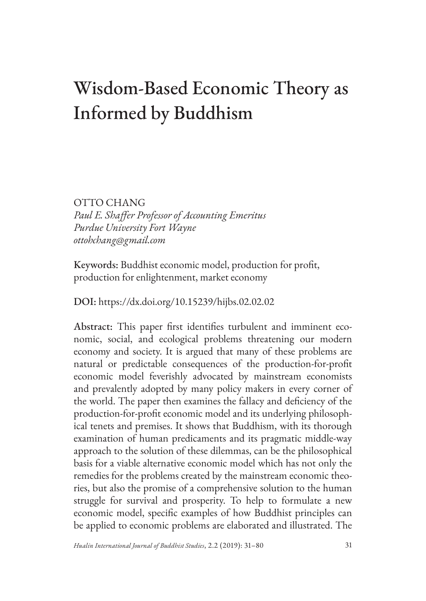# Wisdom-Based Economic Theory as Informed by Buddhism

OTTO CHANG *Paul E. Shaffer Professor of Accounting Emeritus Purdue University Fort Wayne ottohchang@gmail.com*

Keywords: Buddhist economic model, production for profit, production for enlightenment, market economy

DOI: https://dx.doi.org/10.15239/hijbs.02.02.02

Abstract: This paper first identifies turbulent and imminent economic, social, and ecological problems threatening our modern economy and society. It is argued that many of these problems are natural or predictable consequences of the production-for-profit economic model feverishly advocated by mainstream economists and prevalently adopted by many policy makers in every corner of the world. The paper then examines the fallacy and deficiency of the production-for-profit economic model and its underlying philosophical tenets and premises. It shows that Buddhism, with its thorough examination of human predicaments and its pragmatic middle-way approach to the solution of these dilemmas, can be the philosophical basis for a viable alternative economic model which has not only the remedies for the problems created by the mainstream economic theories, but also the promise of a comprehensive solution to the human struggle for survival and prosperity. To help to formulate a new economic model, specific examples of how Buddhist principles can be applied to economic problems are elaborated and illustrated. The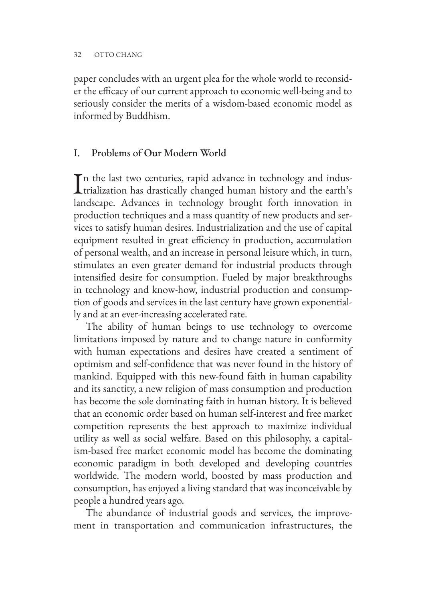paper concludes with an urgent plea for the whole world to reconsider the efficacy of our current approach to economic well-being and to seriously consider the merits of a wisdom-based economic model as informed by Buddhism.

### I. Problems of Our Modern World

In the last two centuries, rapid advance in technology and indus-<br>trialization has drastically changed human history and the earth's trialization has drastically changed human history and the earth's landscape. Advances in technology brought forth innovation in production techniques and a mass quantity of new products and services to satisfy human desires. Industrialization and the use of capital equipment resulted in great efficiency in production, accumulation of personal wealth, and an increase in personal leisure which, in turn, stimulates an even greater demand for industrial products through intensified desire for consumption. Fueled by major breakthroughs in technology and know-how, industrial production and consumption of goods and services in the last century have grown exponentially and at an ever-increasing accelerated rate.

The ability of human beings to use technology to overcome limitations imposed by nature and to change nature in conformity with human expectations and desires have created a sentiment of optimism and self-confidence that was never found in the history of mankind. Equipped with this new-found faith in human capability and its sanctity, a new religion of mass consumption and production has become the sole dominating faith in human history. It is believed that an economic order based on human self-interest and free market competition represents the best approach to maximize individual utility as well as social welfare. Based on this philosophy, a capitalism-based free market economic model has become the dominating economic paradigm in both developed and developing countries worldwide. The modern world, boosted by mass production and consumption, has enjoyed a living standard that was inconceivable by people a hundred years ago.

The abundance of industrial goods and services, the improvement in transportation and communication infrastructures, the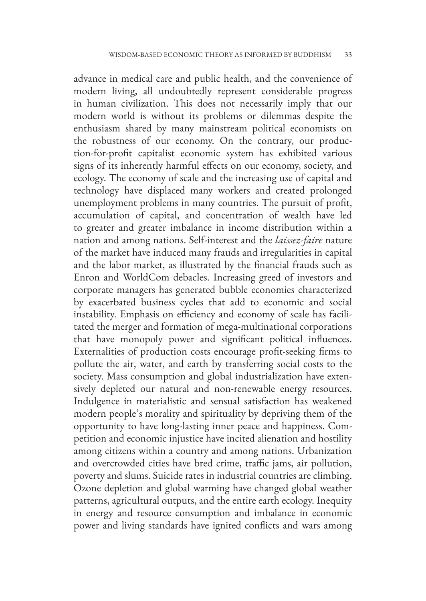advance in medical care and public health, and the convenience of modern living, all undoubtedly represent considerable progress in human civilization. This does not necessarily imply that our modern world is without its problems or dilemmas despite the enthusiasm shared by many mainstream political economists on the robustness of our economy. On the contrary, our production-for-profit capitalist economic system has exhibited various signs of its inherently harmful effects on our economy, society, and ecology. The economy of scale and the increasing use of capital and technology have displaced many workers and created prolonged unemployment problems in many countries. The pursuit of profit, accumulation of capital, and concentration of wealth have led to greater and greater imbalance in income distribution within a nation and among nations. Self-interest and the *laissez-faire* nature of the market have induced many frauds and irregularities in capital and the labor market, as illustrated by the financial frauds such as Enron and WorldCom debacles. Increasing greed of investors and corporate managers has generated bubble economies characterized by exacerbated business cycles that add to economic and social instability. Emphasis on efficiency and economy of scale has facilitated the merger and formation of mega-multinational corporations that have monopoly power and significant political influences. Externalities of production costs encourage profit-seeking firms to pollute the air, water, and earth by transferring social costs to the society. Mass consumption and global industrialization have extensively depleted our natural and non-renewable energy resources. Indulgence in materialistic and sensual satisfaction has weakened modern people's morality and spirituality by depriving them of the opportunity to have long-lasting inner peace and happiness. Competition and economic injustice have incited alienation and hostility among citizens within a country and among nations. Urbanization and overcrowded cities have bred crime, traffic jams, air pollution, poverty and slums. Suicide rates in industrial countries are climbing. Ozone depletion and global warming have changed global weather patterns, agricultural outputs, and the entire earth ecology. Inequity in energy and resource consumption and imbalance in economic power and living standards have ignited conflicts and wars among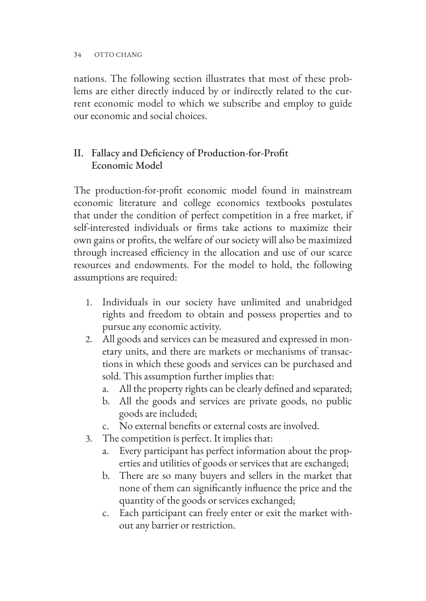nations. The following section illustrates that most of these problems are either directly induced by or indirectly related to the current economic model to which we subscribe and employ to guide our economic and social choices.

# II. Fallacy and Deficiency of Production-for-Profit Economic Model

The production-for-profit economic model found in mainstream economic literature and college economics textbooks postulates that under the condition of perfect competition in a free market, if self-interested individuals or firms take actions to maximize their own gains or profits, the welfare of our society will also be maximized through increased efficiency in the allocation and use of our scarce resources and endowments. For the model to hold, the following assumptions are required:

- 1. Individuals in our society have unlimited and unabridged rights and freedom to obtain and possess properties and to pursue any economic activity.
- 2. All goods and services can be measured and expressed in monetary units, and there are markets or mechanisms of transactions in which these goods and services can be purchased and sold. This assumption further implies that:
	- a. All the property rights can be clearly defined and separated;
	- b. All the goods and services are private goods, no public goods are included;
	- c. No external benefits or external costs are involved.
- 3. The competition is perfect. It implies that:
	- a. Every participant has perfect information about the properties and utilities of goods or services that are exchanged;
	- b. There are so many buyers and sellers in the market that none of them can significantly influence the price and the quantity of the goods or services exchanged;
	- c. Each participant can freely enter or exit the market without any barrier or restriction.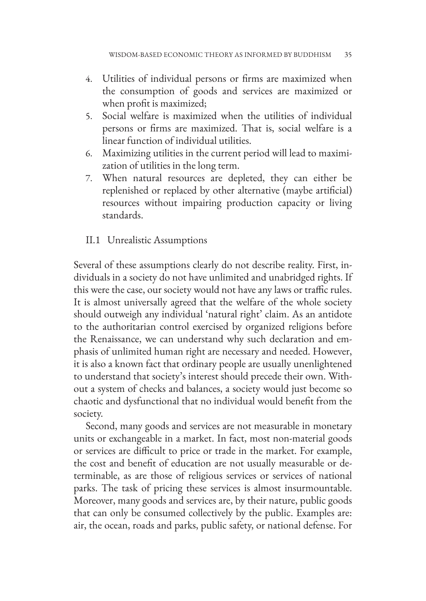- 4. Utilities of individual persons or firms are maximized when the consumption of goods and services are maximized or when profit is maximized;
- 5. Social welfare is maximized when the utilities of individual persons or firms are maximized. That is, social welfare is a linear function of individual utilities.
- 6. Maximizing utilities in the current period will lead to maximization of utilities in the long term.
- 7. When natural resources are depleted, they can either be replenished or replaced by other alternative (maybe artificial) resources without impairing production capacity or living standards.

### II.1 Unrealistic Assumptions

Several of these assumptions clearly do not describe reality. First, individuals in a society do not have unlimited and unabridged rights. If this were the case, our society would not have any laws or traffic rules. It is almost universally agreed that the welfare of the whole society should outweigh any individual 'natural right' claim. As an antidote to the authoritarian control exercised by organized religions before the Renaissance, we can understand why such declaration and emphasis of unlimited human right are necessary and needed. However, it is also a known fact that ordinary people are usually unenlightened to understand that society's interest should precede their own. Without a system of checks and balances, a society would just become so chaotic and dysfunctional that no individual would benefit from the society.

Second, many goods and services are not measurable in monetary units or exchangeable in a market. In fact, most non-material goods or services are difficult to price or trade in the market. For example, the cost and benefit of education are not usually measurable or determinable, as are those of religious services or services of national parks. The task of pricing these services is almost insurmountable. Moreover, many goods and services are, by their nature, public goods that can only be consumed collectively by the public. Examples are: air, the ocean, roads and parks, public safety, or national defense. For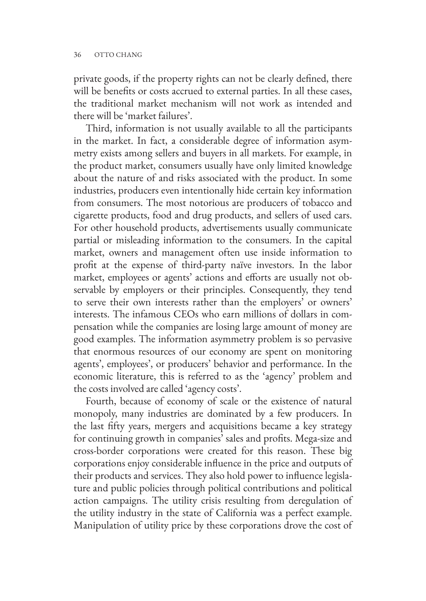private goods, if the property rights can not be clearly defined, there will be benefits or costs accrued to external parties. In all these cases, the traditional market mechanism will not work as intended and there will be 'market failures'.

Third, information is not usually available to all the participants in the market. In fact, a considerable degree of information asymmetry exists among sellers and buyers in all markets. For example, in the product market, consumers usually have only limited knowledge about the nature of and risks associated with the product. In some industries, producers even intentionally hide certain key information from consumers. The most notorious are producers of tobacco and cigarette products, food and drug products, and sellers of used cars. For other household products, advertisements usually communicate partial or misleading information to the consumers. In the capital market, owners and management often use inside information to profit at the expense of third-party naïve investors. In the labor market, employees or agents' actions and efforts are usually not observable by employers or their principles. Consequently, they tend to serve their own interests rather than the employers' or owners' interests. The infamous CEOs who earn millions of dollars in compensation while the companies are losing large amount of money are good examples. The information asymmetry problem is so pervasive that enormous resources of our economy are spent on monitoring agents', employees', or producers' behavior and performance. In the economic literature, this is referred to as the 'agency' problem and the costs involved are called 'agency costs'.

Fourth, because of economy of scale or the existence of natural monopoly, many industries are dominated by a few producers. In the last fifty years, mergers and acquisitions became a key strategy for continuing growth in companies' sales and profits. Mega-size and cross-border corporations were created for this reason. These big corporations enjoy considerable influence in the price and outputs of their products and services. They also hold power to influence legislature and public policies through political contributions and political action campaigns. The utility crisis resulting from deregulation of the utility industry in the state of California was a perfect example. Manipulation of utility price by these corporations drove the cost of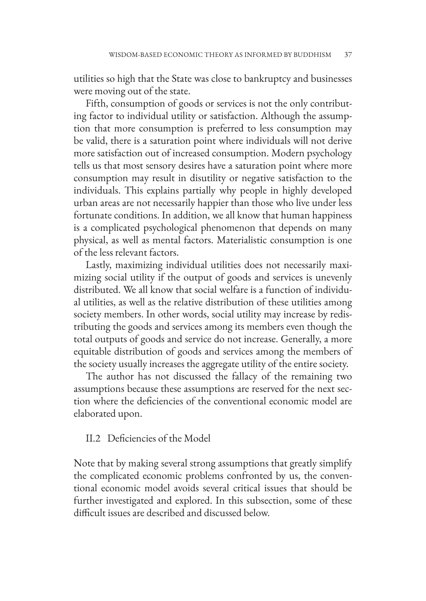utilities so high that the State was close to bankruptcy and businesses were moving out of the state.

Fifth, consumption of goods or services is not the only contributing factor to individual utility or satisfaction. Although the assumption that more consumption is preferred to less consumption may be valid, there is a saturation point where individuals will not derive more satisfaction out of increased consumption. Modern psychology tells us that most sensory desires have a saturation point where more consumption may result in disutility or negative satisfaction to the individuals. This explains partially why people in highly developed urban areas are not necessarily happier than those who live under less fortunate conditions. In addition, we all know that human happiness is a complicated psychological phenomenon that depends on many physical, as well as mental factors. Materialistic consumption is one of the less relevant factors.

Lastly, maximizing individual utilities does not necessarily maximizing social utility if the output of goods and services is unevenly distributed. We all know that social welfare is a function of individual utilities, as well as the relative distribution of these utilities among society members. In other words, social utility may increase by redistributing the goods and services among its members even though the total outputs of goods and service do not increase. Generally, a more equitable distribution of goods and services among the members of the society usually increases the aggregate utility of the entire society.

The author has not discussed the fallacy of the remaining two assumptions because these assumptions are reserved for the next section where the deficiencies of the conventional economic model are elaborated upon.

#### II.2 Deficiencies of the Model

Note that by making several strong assumptions that greatly simplify the complicated economic problems confronted by us, the conventional economic model avoids several critical issues that should be further investigated and explored. In this subsection, some of these difficult issues are described and discussed below.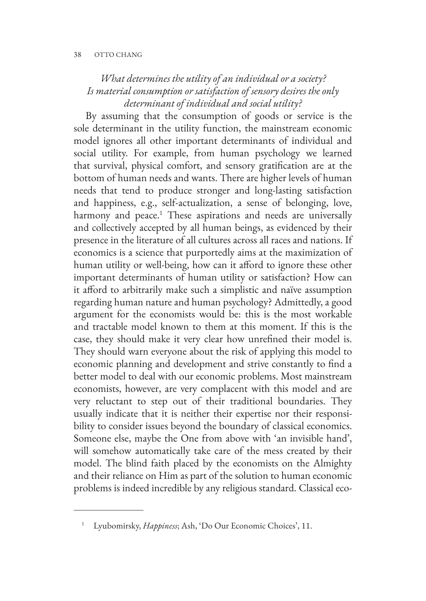# *What determines the utility of an individual or a society? Is material consumption or satisfaction of sensory desires the only determinant of individual and social utility?*

By assuming that the consumption of goods or service is the sole determinant in the utility function, the mainstream economic model ignores all other important determinants of individual and social utility. For example, from human psychology we learned that survival, physical comfort, and sensory gratification are at the bottom of human needs and wants. There are higher levels of human needs that tend to produce stronger and long-lasting satisfaction and happiness, e.g., self-actualization, a sense of belonging, love, harmony and peace.<sup>1</sup> These aspirations and needs are universally and collectively accepted by all human beings, as evidenced by their presence in the literature of all cultures across all races and nations. If economics is a science that purportedly aims at the maximization of human utility or well-being, how can it afford to ignore these other important determinants of human utility or satisfaction? How can it afford to arbitrarily make such a simplistic and naïve assumption regarding human nature and human psychology? Admittedly, a good argument for the economists would be: this is the most workable and tractable model known to them at this moment. If this is the case, they should make it very clear how unrefined their model is. They should warn everyone about the risk of applying this model to economic planning and development and strive constantly to find a better model to deal with our economic problems. Most mainstream economists, however, are very complacent with this model and are very reluctant to step out of their traditional boundaries. They usually indicate that it is neither their expertise nor their responsibility to consider issues beyond the boundary of classical economics. Someone else, maybe the One from above with 'an invisible hand', will somehow automatically take care of the mess created by their model. The blind faith placed by the economists on the Almighty and their reliance on Him as part of the solution to human economic problems is indeed incredible by any religious standard. Classical eco-

<sup>1</sup> Lyubomirsky, *Happiness*; Ash, 'Do Our Economic Choices', 11.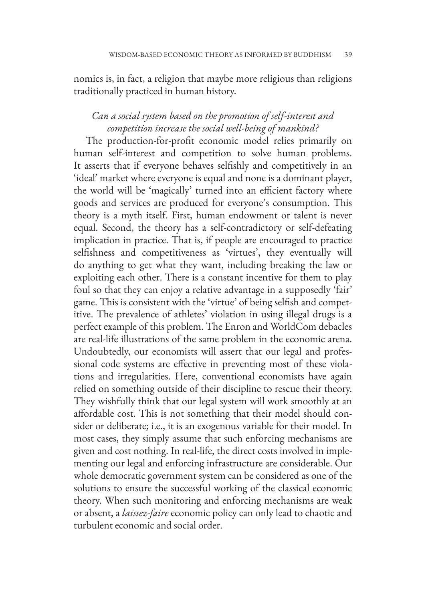nomics is, in fact, a religion that maybe more religious than religions traditionally practiced in human history.

# *Can a social system based on the promotion of self-interest and competition increase the social well-being of mankind?*

The production-for-profit economic model relies primarily on human self-interest and competition to solve human problems. It asserts that if everyone behaves selfishly and competitively in an 'ideal' market where everyone is equal and none is a dominant player, the world will be 'magically' turned into an efficient factory where goods and services are produced for everyone's consumption. This theory is a myth itself. First, human endowment or talent is never equal. Second, the theory has a self-contradictory or self-defeating implication in practice. That is, if people are encouraged to practice selfishness and competitiveness as 'virtues', they eventually will do anything to get what they want, including breaking the law or exploiting each other. There is a constant incentive for them to play foul so that they can enjoy a relative advantage in a supposedly 'fair' game. This is consistent with the 'virtue' of being selfish and competitive. The prevalence of athletes' violation in using illegal drugs is a perfect example of this problem. The Enron and WorldCom debacles are real-life illustrations of the same problem in the economic arena. Undoubtedly, our economists will assert that our legal and professional code systems are effective in preventing most of these violations and irregularities. Here, conventional economists have again relied on something outside of their discipline to rescue their theory. They wishfully think that our legal system will work smoothly at an affordable cost. This is not something that their model should consider or deliberate; i.e., it is an exogenous variable for their model. In most cases, they simply assume that such enforcing mechanisms are given and cost nothing. In real-life, the direct costs involved in implementing our legal and enforcing infrastructure are considerable. Our whole democratic government system can be considered as one of the solutions to ensure the successful working of the classical economic theory. When such monitoring and enforcing mechanisms are weak or absent, a *laissez-faire* economic policy can only lead to chaotic and turbulent economic and social order.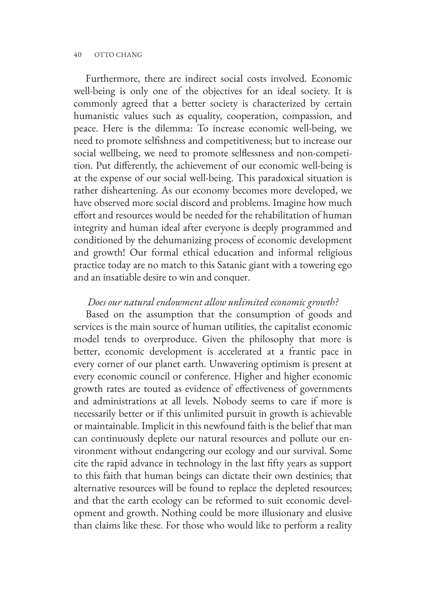#### 40 OTTO CHANG

Furthermore, there are indirect social costs involved. Economic well-being is only one of the objectives for an ideal society. It is commonly agreed that a better society is characterized by certain humanistic values such as equality, cooperation, compassion, and peace. Here is the dilemma: To increase economic well-being, we need to promote selfishness and competitiveness; but to increase our social wellbeing, we need to promote selflessness and non-competition. Put differently, the achievement of our economic well-being is at the expense of our social well-being. This paradoxical situation is rather disheartening. As our economy becomes more developed, we have observed more social discord and problems. Imagine how much effort and resources would be needed for the rehabilitation of human integrity and human ideal after everyone is deeply programmed and conditioned by the dehumanizing process of economic development and growth! Our formal ethical education and informal religious practice today are no match to this Satanic giant with a towering ego and an insatiable desire to win and conquer.

#### *Does our natural endowment allow unlimited economic growth?*

Based on the assumption that the consumption of goods and services is the main source of human utilities, the capitalist economic model tends to overproduce. Given the philosophy that more is better, economic development is accelerated at a frantic pace in every corner of our planet earth. Unwavering optimism is present at every economic council or conference. Higher and higher economic growth rates are touted as evidence of effectiveness of governments and administrations at all levels. Nobody seems to care if more is necessarily better or if this unlimited pursuit in growth is achievable or maintainable. Implicit in this newfound faith is the belief that man can continuously deplete our natural resources and pollute our environment without endangering our ecology and our survival. Some cite the rapid advance in technology in the last fifty years as support to this faith that human beings can dictate their own destinies; that alternative resources will be found to replace the depleted resources; and that the earth ecology can be reformed to suit economic development and growth. Nothing could be more illusionary and elusive than claims like these. For those who would like to perform a reality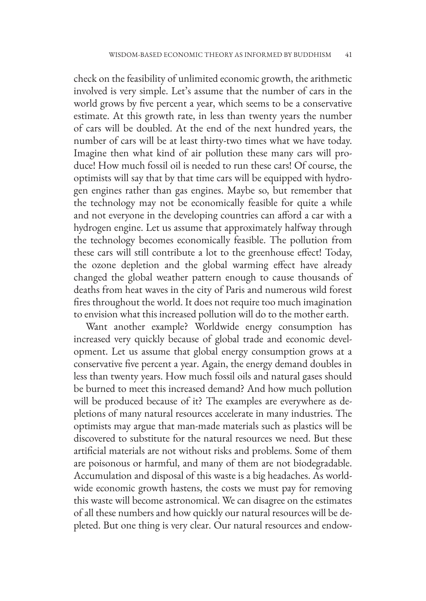check on the feasibility of unlimited economic growth, the arithmetic involved is very simple. Let's assume that the number of cars in the world grows by five percent a year, which seems to be a conservative estimate. At this growth rate, in less than twenty years the number of cars will be doubled. At the end of the next hundred years, the number of cars will be at least thirty-two times what we have today. Imagine then what kind of air pollution these many cars will produce! How much fossil oil is needed to run these cars! Of course, the optimists will say that by that time cars will be equipped with hydrogen engines rather than gas engines. Maybe so, but remember that the technology may not be economically feasible for quite a while and not everyone in the developing countries can afford a car with a hydrogen engine. Let us assume that approximately halfway through the technology becomes economically feasible. The pollution from these cars will still contribute a lot to the greenhouse effect! Today, the ozone depletion and the global warming effect have already changed the global weather pattern enough to cause thousands of deaths from heat waves in the city of Paris and numerous wild forest fires throughout the world. It does not require too much imagination to envision what this increased pollution will do to the mother earth.

Want another example? Worldwide energy consumption has increased very quickly because of global trade and economic development. Let us assume that global energy consumption grows at a conservative five percent a year. Again, the energy demand doubles in less than twenty years. How much fossil oils and natural gases should be burned to meet this increased demand? And how much pollution will be produced because of it? The examples are everywhere as depletions of many natural resources accelerate in many industries. The optimists may argue that man-made materials such as plastics will be discovered to substitute for the natural resources we need. But these artificial materials are not without risks and problems. Some of them are poisonous or harmful, and many of them are not biodegradable. Accumulation and disposal of this waste is a big headaches. As worldwide economic growth hastens, the costs we must pay for removing this waste will become astronomical. We can disagree on the estimates of all these numbers and how quickly our natural resources will be depleted. But one thing is very clear. Our natural resources and endow-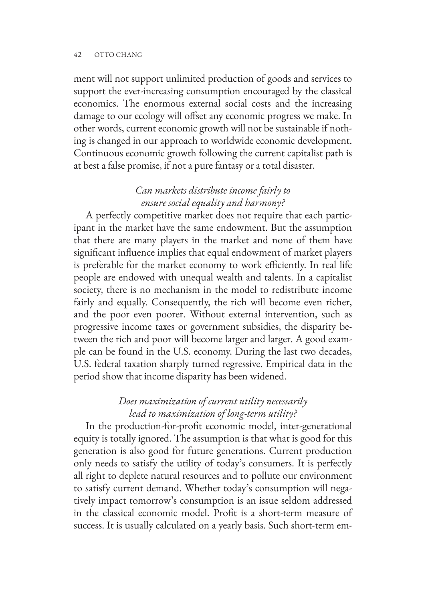#### 42 OTTO CHANG

ment will not support unlimited production of goods and services to support the ever-increasing consumption encouraged by the classical economics. The enormous external social costs and the increasing damage to our ecology will offset any economic progress we make. In other words, current economic growth will not be sustainable if nothing is changed in our approach to worldwide economic development. Continuous economic growth following the current capitalist path is at best a false promise, if not a pure fantasy or a total disaster.

# *Can markets distribute income fairly to ensure social equality and harmony?*

A perfectly competitive market does not require that each participant in the market have the same endowment. But the assumption that there are many players in the market and none of them have significant influence implies that equal endowment of market players is preferable for the market economy to work efficiently. In real life people are endowed with unequal wealth and talents. In a capitalist society, there is no mechanism in the model to redistribute income fairly and equally. Consequently, the rich will become even richer, and the poor even poorer. Without external intervention, such as progressive income taxes or government subsidies, the disparity between the rich and poor will become larger and larger. A good example can be found in the U.S. economy. During the last two decades, U.S. federal taxation sharply turned regressive. Empirical data in the period show that income disparity has been widened.

# *Does maximization of current utility necessarily lead to maximization of long-term utility?*

In the production-for-profit economic model, inter-generational equity is totally ignored. The assumption is that what is good for this generation is also good for future generations. Current production only needs to satisfy the utility of today's consumers. It is perfectly all right to deplete natural resources and to pollute our environment to satisfy current demand. Whether today's consumption will negatively impact tomorrow's consumption is an issue seldom addressed in the classical economic model. Profit is a short-term measure of success. It is usually calculated on a yearly basis. Such short-term em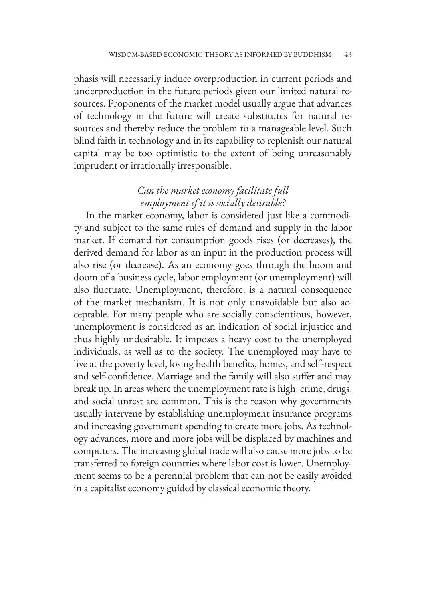phasis will necessarily induce overproduction in current periods and underproduction in the future periods given our limited natural resources. Proponents of the market model usually argue that advances of technology in the future will create substitutes for natural resources and thereby reduce the problem to a manageable level. Such blind faith in technology and in its capability to replenish our natural capital may be too optimistic to the extent of being unreasonably imprudent or irrationally irresponsible.

# *Can the market economy facilitate full employment if it is socially desirable?*

In the market economy, labor is considered just like a commodity and subject to the same rules of demand and supply in the labor market. If demand for consumption goods rises (or decreases), the derived demand for labor as an input in the production process will also rise (or decrease). As an economy goes through the boom and doom of a business cycle, labor employment (or unemployment) will also fluctuate. Unemployment, therefore, is a natural consequence of the market mechanism. It is not only unavoidable but also acceptable. For many people who are socially conscientious, however, unemployment is considered as an indication of social injustice and thus highly undesirable. It imposes a heavy cost to the unemployed individuals, as well as to the society. The unemployed may have to live at the poverty level, losing health benefits, homes, and self-respect and self-confidence. Marriage and the family will also suffer and may break up. In areas where the unemployment rate is high, crime, drugs, and social unrest are common. This is the reason why governments usually intervene by establishing unemployment insurance programs and increasing government spending to create more jobs. As technology advances, more and more jobs will be displaced by machines and computers. The increasing global trade will also cause more jobs to be transferred to foreign countries where labor cost is lower. Unemployment seems to be a perennial problem that can not be easily avoided in a capitalist economy guided by classical economic theory.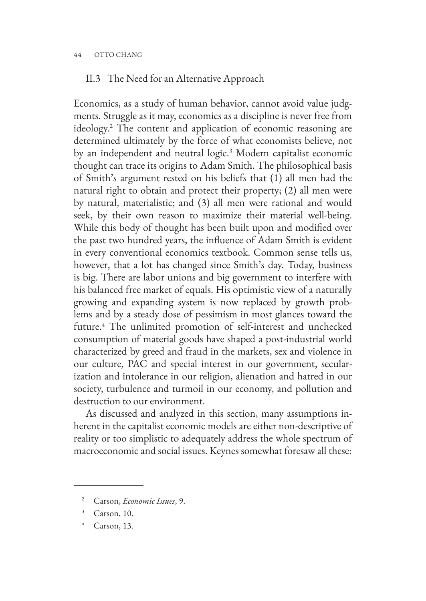#### 44 OTTO CHANG

### II.3 The Need for an Alternative Approach

Economics, as a study of human behavior, cannot avoid value judgments. Struggle as it may, economics as a discipline is never free from ideology.2 The content and application of economic reasoning are determined ultimately by the force of what economists believe, not by an independent and neutral logic.<sup>3</sup> Modern capitalist economic thought can trace its origins to Adam Smith. The philosophical basis of Smith's argument rested on his beliefs that (1) all men had the natural right to obtain and protect their property; (2) all men were by natural, materialistic; and (3) all men were rational and would seek, by their own reason to maximize their material well-being. While this body of thought has been built upon and modified over the past two hundred years, the influence of Adam Smith is evident in every conventional economics textbook. Common sense tells us, however, that a lot has changed since Smith's day. Today, business is big. There are labor unions and big government to interfere with his balanced free market of equals. His optimistic view of a naturally growing and expanding system is now replaced by growth problems and by a steady dose of pessimism in most glances toward the future.<sup>4</sup> The unlimited promotion of self-interest and unchecked consumption of material goods have shaped a post-industrial world characterized by greed and fraud in the markets, sex and violence in our culture, PAC and special interest in our government, secularization and intolerance in our religion, alienation and hatred in our society, turbulence and turmoil in our economy, and pollution and destruction to our environment.

As discussed and analyzed in this section, many assumptions inherent in the capitalist economic models are either non-descriptive of reality or too simplistic to adequately address the whole spectrum of macroeconomic and social issues. Keynes somewhat foresaw all these:

<sup>2</sup> Carson, *Economic Issues*, 9.

 $3$  Carson, 10.

Carson, 13.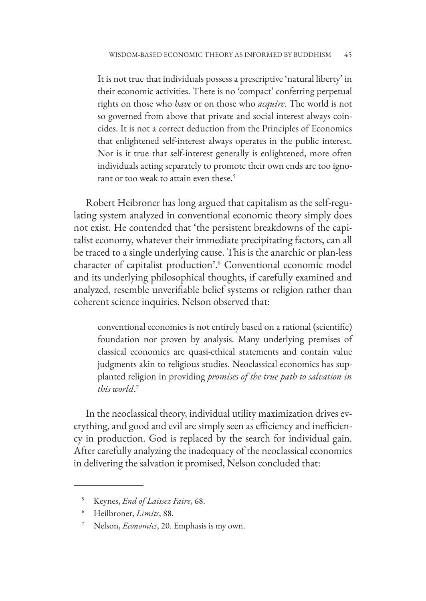It is not true that individuals possess a prescriptive 'natural liberty' in their economic activities. There is no 'compact' conferring perpetual rights on those who *have* or on those who *acquire*. The world is not so governed from above that private and social interest always coincides. It is not a correct deduction from the Principles of Economics that enlightened self-interest always operates in the public interest. Nor is it true that self-interest generally is enlightened, more often individuals acting separately to promote their own ends are too ignorant or too weak to attain even these.5

Robert Heibroner has long argued that capitalism as the self-regulating system analyzed in conventional economic theory simply does not exist. He contended that 'the persistent breakdowns of the capitalist economy, whatever their immediate precipitating factors, can all be traced to a single underlying cause. This is the anarchic or plan-less character of capitalist production'.<sup>6</sup> Conventional economic model and its underlying philosophical thoughts, if carefully examined and analyzed, resemble unverifiable belief systems or religion rather than coherent science inquiries. Nelson observed that:

conventional economics is not entirely based on a rational (scientific) foundation nor proven by analysis. Many underlying premises of classical economics are quasi-ethical statements and contain value judgments akin to religious studies. Neoclassical economics has supplanted religion in providing *promises of the true path to salvation in this world*. 7

In the neoclassical theory, individual utility maximization drives everything, and good and evil are simply seen as efficiency and inefficiency in production. God is replaced by the search for individual gain. After carefully analyzing the inadequacy of the neoclassical economics in delivering the salvation it promised, Nelson concluded that:

<sup>5</sup> Keynes, *End of Laissez Faire*, 68.

<sup>6</sup> Heilbroner, *Limits*, 88.

<sup>7</sup> Nelson, *Economics*, 20. Emphasis is my own.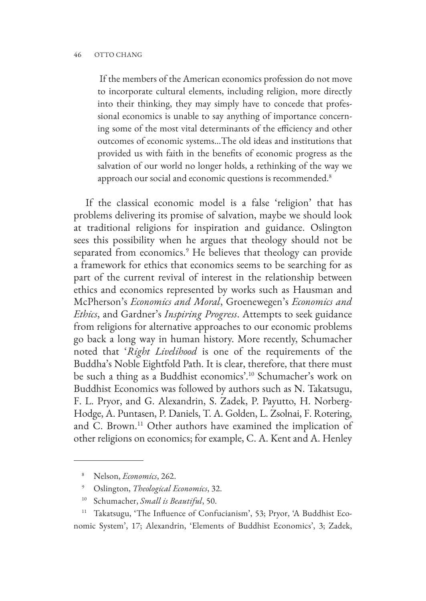If the members of the American economics profession do not move to incorporate cultural elements, including religion, more directly into their thinking, they may simply have to concede that professional economics is unable to say anything of importance concerning some of the most vital determinants of the efficiency and other outcomes of economic systems…The old ideas and institutions that provided us with faith in the benefits of economic progress as the salvation of our world no longer holds, a rethinking of the way we approach our social and economic questions is recommended.<sup>8</sup>

If the classical economic model is a false 'religion' that has problems delivering its promise of salvation, maybe we should look at traditional religions for inspiration and guidance. Oslington sees this possibility when he argues that theology should not be separated from economics.9 He believes that theology can provide a framework for ethics that economics seems to be searching for as part of the current revival of interest in the relationship between ethics and economics represented by works such as Hausman and McPherson's *Economics and Moral*, Groenewegen's *Economics and Ethics*, and Gardner's *Inspiring Progress*. Attempts to seek guidance from religions for alternative approaches to our economic problems go back a long way in human history. More recently, Schumacher noted that '*Right Livelihood* is one of the requirements of the Buddha's Noble Eightfold Path. It is clear, therefore, that there must be such a thing as a Buddhist economics'.10 Schumacher's work on Buddhist Economics was followed by authors such as N. Takatsugu, F. L. Pryor, and G. Alexandrin, S. Zadek, P. Payutto, H. Norberg-Hodge, A. Puntasen, P. Daniels, T. A. Golden, L. Zsolnai, F. Rotering, and C. Brown.<sup>11</sup> Other authors have examined the implication of other religions on economics; for example, C. A. Kent and A. Henley

<sup>8</sup> Nelson, *Economics*, 262.

<sup>9</sup> Oslington, *Theological Economics*, 32.

<sup>10</sup> Schumacher, *Small is Beautiful*, 50.

<sup>&</sup>lt;sup>11</sup> Takatsugu, 'The Influence of Confucianism', 53; Pryor, 'A Buddhist Economic System', 17; Alexandrin, 'Elements of Buddhist Economics', 3; Zadek,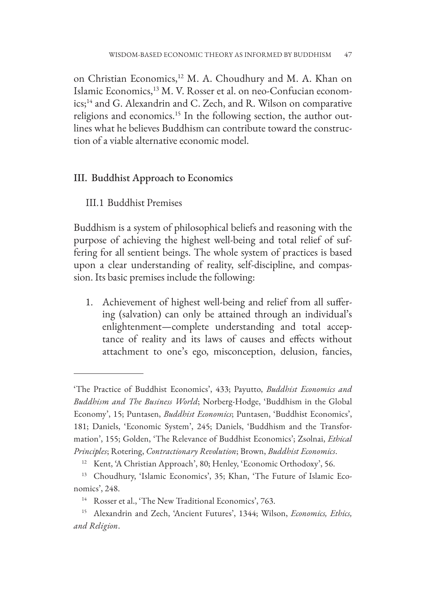on Christian Economics,<sup>12</sup> M. A. Choudhury and M. A. Khan on Islamic Economics,13 M. V. Rosser et al. on neo-Confucian economics;14 and G. Alexandrin and C. Zech, and R. Wilson on comparative religions and economics.<sup>15</sup> In the following section, the author outlines what he believes Buddhism can contribute toward the construction of a viable alternative economic model.

### III. Buddhist Approach to Economics

#### III.1 Buddhist Premises

Buddhism is a system of philosophical beliefs and reasoning with the purpose of achieving the highest well-being and total relief of suffering for all sentient beings. The whole system of practices is based upon a clear understanding of reality, self-discipline, and compassion. Its basic premises include the following:

1. Achievement of highest well-being and relief from all suffering (salvation) can only be attained through an individual's enlightenment—complete understanding and total acceptance of reality and its laws of causes and effects without attachment to one's ego, misconception, delusion, fancies,

<sup>&#</sup>x27;The Practice of Buddhist Economics', 433; Payutto, *Buddhist Economics and Buddhism and The Business World*; Norberg-Hodge, 'Buddhism in the Global Economy', 15; Puntasen, *Buddhist Economics*; Puntasen, 'Buddhist Economics', 181; Daniels, 'Economic System', 245; Daniels, 'Buddhism and the Transformation', 155; Golden, 'The Relevance of Buddhist Economics'; Zsolnai, *Ethical Principles*; Rotering, *Contractionary Revolution*; Brown, *Buddhist Economics*.

Kent, 'A Christian Approach', 80; Henley, 'Economic Orthodoxy', 56.

<sup>13</sup> Choudhury, 'Islamic Economics', 35; Khan, 'The Future of Islamic Economics', 248.

<sup>14</sup> Rosser et al., 'The New Traditional Economics', 763.

<sup>15</sup> Alexandrin and Zech, 'Ancient Futures', 1344; Wilson, *Economics, Ethics, and Religion*.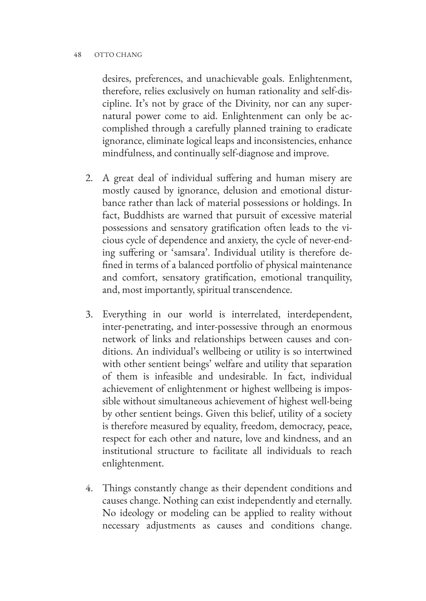desires, preferences, and unachievable goals. Enlightenment, therefore, relies exclusively on human rationality and self-discipline. It's not by grace of the Divinity, nor can any supernatural power come to aid. Enlightenment can only be accomplished through a carefully planned training to eradicate ignorance, eliminate logical leaps and inconsistencies, enhance mindfulness, and continually self-diagnose and improve.

- 2. A great deal of individual suffering and human misery are mostly caused by ignorance, delusion and emotional disturbance rather than lack of material possessions or holdings. In fact, Buddhists are warned that pursuit of excessive material possessions and sensatory gratification often leads to the vicious cycle of dependence and anxiety, the cycle of never-ending suffering or 'samsara'. Individual utility is therefore defined in terms of a balanced portfolio of physical maintenance and comfort, sensatory gratification, emotional tranquility, and, most importantly, spiritual transcendence.
- 3. Everything in our world is interrelated, interdependent, inter-penetrating, and inter-possessive through an enormous network of links and relationships between causes and conditions. An individual's wellbeing or utility is so intertwined with other sentient beings' welfare and utility that separation of them is infeasible and undesirable. In fact, individual achievement of enlightenment or highest wellbeing is impossible without simultaneous achievement of highest well-being by other sentient beings. Given this belief, utility of a society is therefore measured by equality, freedom, democracy, peace, respect for each other and nature, love and kindness, and an institutional structure to facilitate all individuals to reach enlightenment.
- 4. Things constantly change as their dependent conditions and causes change. Nothing can exist independently and eternally. No ideology or modeling can be applied to reality without necessary adjustments as causes and conditions change.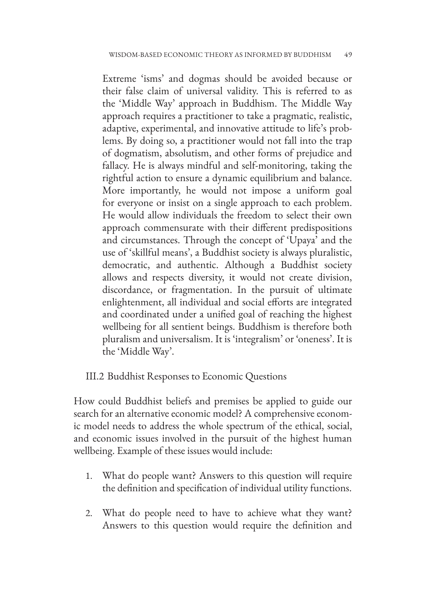Extreme 'isms' and dogmas should be avoided because or their false claim of universal validity. This is referred to as the 'Middle Way' approach in Buddhism. The Middle Way approach requires a practitioner to take a pragmatic, realistic, adaptive, experimental, and innovative attitude to life's problems. By doing so, a practitioner would not fall into the trap of dogmatism, absolutism, and other forms of prejudice and fallacy. He is always mindful and self-monitoring, taking the rightful action to ensure a dynamic equilibrium and balance. More importantly, he would not impose a uniform goal for everyone or insist on a single approach to each problem. He would allow individuals the freedom to select their own approach commensurate with their different predispositions and circumstances. Through the concept of 'Upaya' and the use of 'skillful means', a Buddhist society is always pluralistic, democratic, and authentic. Although a Buddhist society allows and respects diversity, it would not create division, discordance, or fragmentation. In the pursuit of ultimate enlightenment, all individual and social efforts are integrated and coordinated under a unified goal of reaching the highest wellbeing for all sentient beings. Buddhism is therefore both pluralism and universalism. It is 'integralism' or 'oneness'. It is the 'Middle Way'.

### III.2 Buddhist Responses to Economic Questions

How could Buddhist beliefs and premises be applied to guide our search for an alternative economic model? A comprehensive economic model needs to address the whole spectrum of the ethical, social, and economic issues involved in the pursuit of the highest human wellbeing. Example of these issues would include:

- 1. What do people want? Answers to this question will require the definition and specification of individual utility functions.
- 2. What do people need to have to achieve what they want? Answers to this question would require the definition and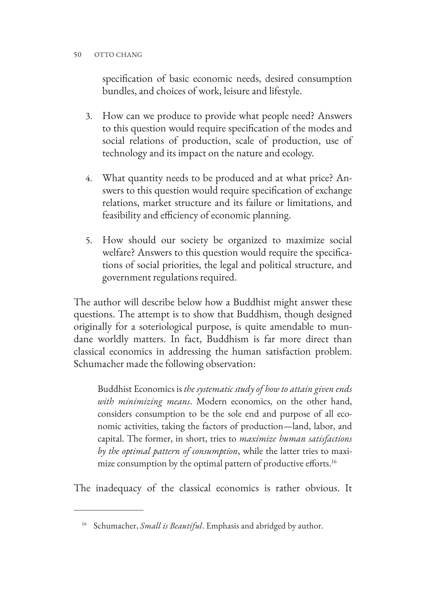specification of basic economic needs, desired consumption bundles, and choices of work, leisure and lifestyle.

- 3. How can we produce to provide what people need? Answers to this question would require specification of the modes and social relations of production, scale of production, use of technology and its impact on the nature and ecology.
- 4. What quantity needs to be produced and at what price? Answers to this question would require specification of exchange relations, market structure and its failure or limitations, and feasibility and efficiency of economic planning.
- 5. How should our society be organized to maximize social welfare? Answers to this question would require the specifications of social priorities, the legal and political structure, and government regulations required.

The author will describe below how a Buddhist might answer these questions. The attempt is to show that Buddhism, though designed originally for a soteriological purpose, is quite amendable to mundane worldly matters. In fact, Buddhism is far more direct than classical economics in addressing the human satisfaction problem. Schumacher made the following observation:

Buddhist Economics is *the systematic study of how to attain given ends with minimizing means*. Modern economics, on the other hand, considers consumption to be the sole end and purpose of all economic activities, taking the factors of production—land, labor, and capital. The former, in short, tries to *maximize human satisfactions by the optimal pattern of consumption*, while the latter tries to maximize consumption by the optimal pattern of productive efforts.<sup>16</sup>

The inadequacy of the classical economics is rather obvious. It

<sup>16</sup> Schumacher, *Small is Beautiful*. Emphasis and abridged by author.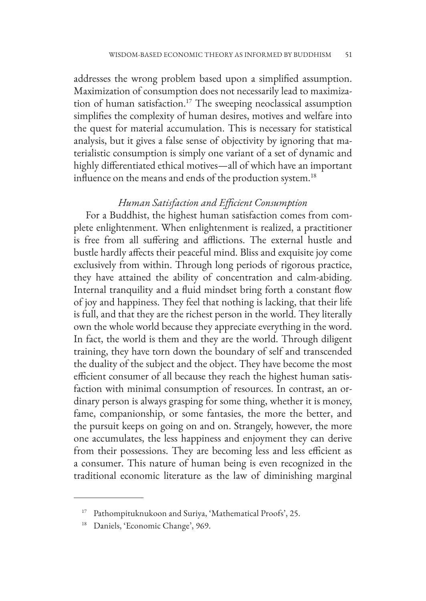addresses the wrong problem based upon a simplified assumption. Maximization of consumption does not necessarily lead to maximization of human satisfaction.17 The sweeping neoclassical assumption simplifies the complexity of human desires, motives and welfare into the quest for material accumulation. This is necessary for statistical analysis, but it gives a false sense of objectivity by ignoring that materialistic consumption is simply one variant of a set of dynamic and highly differentiated ethical motives—all of which have an important influence on the means and ends of the production system.<sup>18</sup>

### *Human Satisfaction and Efficient Consumption*

For a Buddhist, the highest human satisfaction comes from complete enlightenment. When enlightenment is realized, a practitioner is free from all suffering and afflictions. The external hustle and bustle hardly affects their peaceful mind. Bliss and exquisite joy come exclusively from within. Through long periods of rigorous practice, they have attained the ability of concentration and calm-abiding. Internal tranquility and a fluid mindset bring forth a constant flow of joy and happiness. They feel that nothing is lacking, that their life is full, and that they are the richest person in the world. They literally own the whole world because they appreciate everything in the word. In fact, the world is them and they are the world. Through diligent training, they have torn down the boundary of self and transcended the duality of the subject and the object. They have become the most efficient consumer of all because they reach the highest human satisfaction with minimal consumption of resources. In contrast, an ordinary person is always grasping for some thing, whether it is money, fame, companionship, or some fantasies, the more the better, and the pursuit keeps on going on and on. Strangely, however, the more one accumulates, the less happiness and enjoyment they can derive from their possessions. They are becoming less and less efficient as a consumer. This nature of human being is even recognized in the traditional economic literature as the law of diminishing marginal

<sup>&</sup>lt;sup>17</sup> Pathompituknukoon and Suriya, 'Mathematical Proofs', 25.

<sup>&</sup>lt;sup>18</sup> Daniels, 'Economic Change', 969.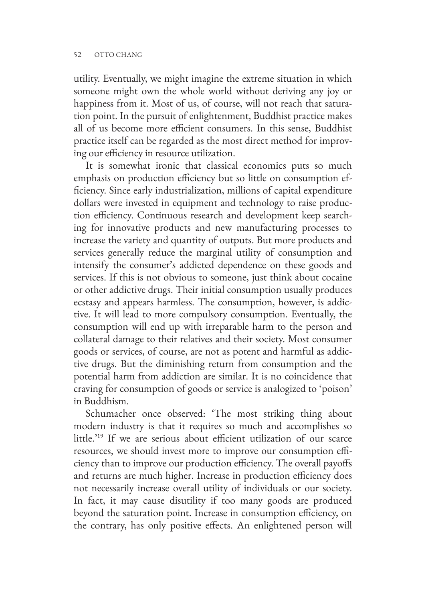utility. Eventually, we might imagine the extreme situation in which someone might own the whole world without deriving any joy or happiness from it. Most of us, of course, will not reach that saturation point. In the pursuit of enlightenment, Buddhist practice makes all of us become more efficient consumers. In this sense, Buddhist practice itself can be regarded as the most direct method for improving our efficiency in resource utilization.

It is somewhat ironic that classical economics puts so much emphasis on production efficiency but so little on consumption efficiency. Since early industrialization, millions of capital expenditure dollars were invested in equipment and technology to raise production efficiency. Continuous research and development keep searching for innovative products and new manufacturing processes to increase the variety and quantity of outputs. But more products and services generally reduce the marginal utility of consumption and intensify the consumer's addicted dependence on these goods and services. If this is not obvious to someone, just think about cocaine or other addictive drugs. Their initial consumption usually produces ecstasy and appears harmless. The consumption, however, is addictive. It will lead to more compulsory consumption. Eventually, the consumption will end up with irreparable harm to the person and collateral damage to their relatives and their society. Most consumer goods or services, of course, are not as potent and harmful as addictive drugs. But the diminishing return from consumption and the potential harm from addiction are similar. It is no coincidence that craving for consumption of goods or service is analogized to 'poison' in Buddhism.

Schumacher once observed: 'The most striking thing about modern industry is that it requires so much and accomplishes so little.'19 If we are serious about efficient utilization of our scarce resources, we should invest more to improve our consumption efficiency than to improve our production efficiency. The overall payoffs and returns are much higher. Increase in production efficiency does not necessarily increase overall utility of individuals or our society. In fact, it may cause disutility if too many goods are produced beyond the saturation point. Increase in consumption efficiency, on the contrary, has only positive effects. An enlightened person will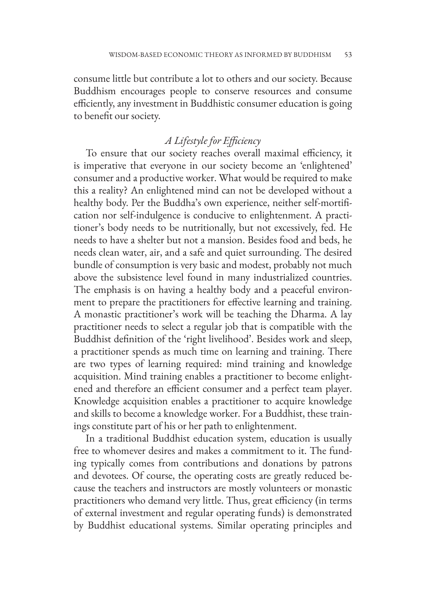consume little but contribute a lot to others and our society. Because Buddhism encourages people to conserve resources and consume efficiently, any investment in Buddhistic consumer education is going to benefit our society.

# *A Lifestyle for Efficiency*

To ensure that our society reaches overall maximal efficiency, it is imperative that everyone in our society become an 'enlightened' consumer and a productive worker. What would be required to make this a reality? An enlightened mind can not be developed without a healthy body. Per the Buddha's own experience, neither self-mortification nor self-indulgence is conducive to enlightenment. A practitioner's body needs to be nutritionally, but not excessively, fed. He needs to have a shelter but not a mansion. Besides food and beds, he needs clean water, air, and a safe and quiet surrounding. The desired bundle of consumption is very basic and modest, probably not much above the subsistence level found in many industrialized countries. The emphasis is on having a healthy body and a peaceful environment to prepare the practitioners for effective learning and training. A monastic practitioner's work will be teaching the Dharma. A lay practitioner needs to select a regular job that is compatible with the Buddhist definition of the 'right livelihood'. Besides work and sleep, a practitioner spends as much time on learning and training. There are two types of learning required: mind training and knowledge acquisition. Mind training enables a practitioner to become enlightened and therefore an efficient consumer and a perfect team player. Knowledge acquisition enables a practitioner to acquire knowledge and skills to become a knowledge worker. For a Buddhist, these trainings constitute part of his or her path to enlightenment.

In a traditional Buddhist education system, education is usually free to whomever desires and makes a commitment to it. The funding typically comes from contributions and donations by patrons and devotees. Of course, the operating costs are greatly reduced because the teachers and instructors are mostly volunteers or monastic practitioners who demand very little. Thus, great efficiency (in terms of external investment and regular operating funds) is demonstrated by Buddhist educational systems. Similar operating principles and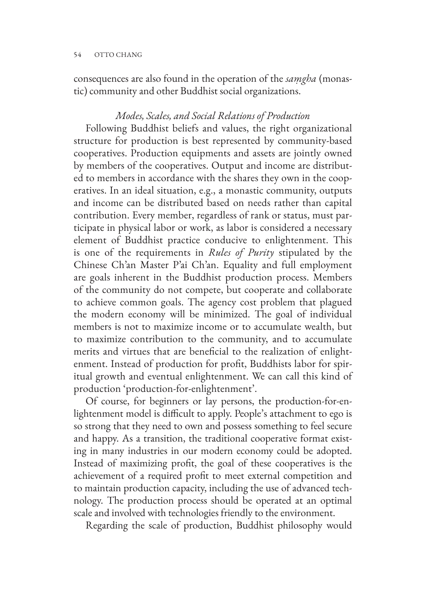consequences are also found in the operation of the *saṃgha* (monastic) community and other Buddhist social organizations.

#### *Modes, Scales, and Social Relations of Production*

Following Buddhist beliefs and values, the right organizational structure for production is best represented by community-based cooperatives. Production equipments and assets are jointly owned by members of the cooperatives. Output and income are distributed to members in accordance with the shares they own in the cooperatives. In an ideal situation, e.g., a monastic community, outputs and income can be distributed based on needs rather than capital contribution. Every member, regardless of rank or status, must participate in physical labor or work, as labor is considered a necessary element of Buddhist practice conducive to enlightenment. This is one of the requirements in *Rules of Purity* stipulated by the Chinese Ch'an Master P'ai Ch'an. Equality and full employment are goals inherent in the Buddhist production process. Members of the community do not compete, but cooperate and collaborate to achieve common goals. The agency cost problem that plagued the modern economy will be minimized. The goal of individual members is not to maximize income or to accumulate wealth, but to maximize contribution to the community, and to accumulate merits and virtues that are beneficial to the realization of enlightenment. Instead of production for profit, Buddhists labor for spiritual growth and eventual enlightenment. We can call this kind of production 'production-for-enlightenment'.

Of course, for beginners or lay persons, the production-for-enlightenment model is difficult to apply. People's attachment to ego is so strong that they need to own and possess something to feel secure and happy. As a transition, the traditional cooperative format existing in many industries in our modern economy could be adopted. Instead of maximizing profit, the goal of these cooperatives is the achievement of a required profit to meet external competition and to maintain production capacity, including the use of advanced technology. The production process should be operated at an optimal scale and involved with technologies friendly to the environment.

Regarding the scale of production, Buddhist philosophy would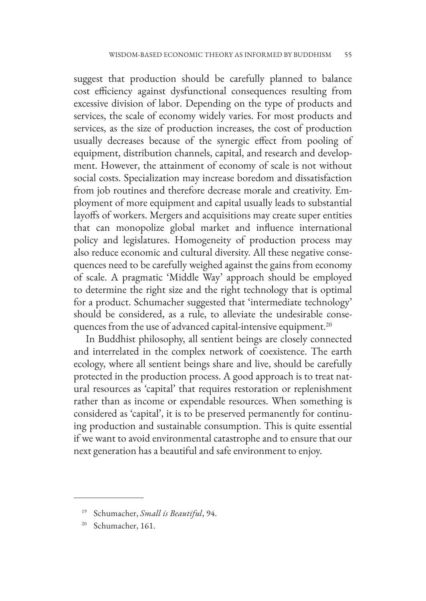suggest that production should be carefully planned to balance cost efficiency against dysfunctional consequences resulting from excessive division of labor. Depending on the type of products and services, the scale of economy widely varies. For most products and services, as the size of production increases, the cost of production usually decreases because of the synergic effect from pooling of equipment, distribution channels, capital, and research and development. However, the attainment of economy of scale is not without social costs. Specialization may increase boredom and dissatisfaction from job routines and therefore decrease morale and creativity. Employment of more equipment and capital usually leads to substantial layoffs of workers. Mergers and acquisitions may create super entities that can monopolize global market and influence international policy and legislatures. Homogeneity of production process may also reduce economic and cultural diversity. All these negative consequences need to be carefully weighed against the gains from economy of scale. A pragmatic 'Middle Way' approach should be employed to determine the right size and the right technology that is optimal for a product. Schumacher suggested that 'intermediate technology' should be considered, as a rule, to alleviate the undesirable consequences from the use of advanced capital-intensive equipment.<sup>20</sup>

In Buddhist philosophy, all sentient beings are closely connected and interrelated in the complex network of coexistence. The earth ecology, where all sentient beings share and live, should be carefully protected in the production process. A good approach is to treat natural resources as 'capital' that requires restoration or replenishment rather than as income or expendable resources. When something is considered as 'capital', it is to be preserved permanently for continuing production and sustainable consumption. This is quite essential if we want to avoid environmental catastrophe and to ensure that our next generation has a beautiful and safe environment to enjoy.

<sup>19</sup> Schumacher, *Small is Beautiful*, 94.

Schumacher, 161.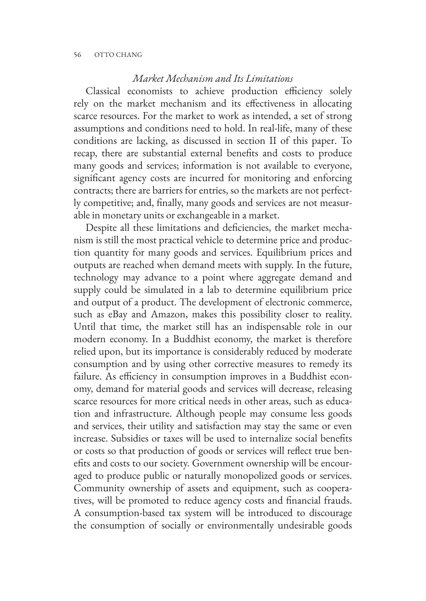#### *Market Mechanism and Its Limitations*

Classical economists to achieve production efficiency solely rely on the market mechanism and its effectiveness in allocating scarce resources. For the market to work as intended, a set of strong assumptions and conditions need to hold. In real-life, many of these conditions are lacking, as discussed in section II of this paper. To recap, there are substantial external benefits and costs to produce many goods and services; information is not available to everyone, significant agency costs are incurred for monitoring and enforcing contracts; there are barriers for entries, so the markets are not perfectly competitive; and, finally, many goods and services are not measurable in monetary units or exchangeable in a market.

Despite all these limitations and deficiencies, the market mechanism is still the most practical vehicle to determine price and production quantity for many goods and services. Equilibrium prices and outputs are reached when demand meets with supply. In the future, technology may advance to a point where aggregate demand and supply could be simulated in a lab to determine equilibrium price and output of a product. The development of electronic commerce, such as eBay and Amazon, makes this possibility closer to reality. Until that time, the market still has an indispensable role in our modern economy. In a Buddhist economy, the market is therefore relied upon, but its importance is considerably reduced by moderate consumption and by using other corrective measures to remedy its failure. As efficiency in consumption improves in a Buddhist economy, demand for material goods and services will decrease, releasing scarce resources for more critical needs in other areas, such as education and infrastructure. Although people may consume less goods and services, their utility and satisfaction may stay the same or even increase. Subsidies or taxes will be used to internalize social benefits or costs so that production of goods or services will reflect true benefits and costs to our society. Government ownership will be encouraged to produce public or naturally monopolized goods or services. Community ownership of assets and equipment, such as cooperatives, will be promoted to reduce agency costs and financial frauds. A consumption-based tax system will be introduced to discourage the consumption of socially or environmentally undesirable goods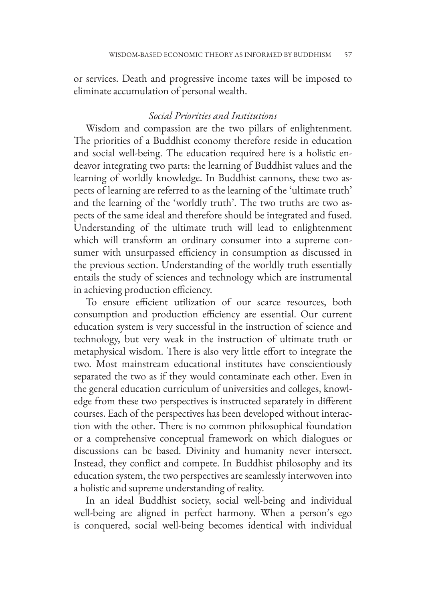or services. Death and progressive income taxes will be imposed to eliminate accumulation of personal wealth.

#### *Social Priorities and Institutions*

Wisdom and compassion are the two pillars of enlightenment. The priorities of a Buddhist economy therefore reside in education and social well-being. The education required here is a holistic endeavor integrating two parts: the learning of Buddhist values and the learning of worldly knowledge. In Buddhist cannons, these two aspects of learning are referred to as the learning of the 'ultimate truth' and the learning of the 'worldly truth'. The two truths are two aspects of the same ideal and therefore should be integrated and fused. Understanding of the ultimate truth will lead to enlightenment which will transform an ordinary consumer into a supreme consumer with unsurpassed efficiency in consumption as discussed in the previous section. Understanding of the worldly truth essentially entails the study of sciences and technology which are instrumental in achieving production efficiency.

To ensure efficient utilization of our scarce resources, both consumption and production efficiency are essential. Our current education system is very successful in the instruction of science and technology, but very weak in the instruction of ultimate truth or metaphysical wisdom. There is also very little effort to integrate the two. Most mainstream educational institutes have conscientiously separated the two as if they would contaminate each other. Even in the general education curriculum of universities and colleges, knowledge from these two perspectives is instructed separately in different courses. Each of the perspectives has been developed without interaction with the other. There is no common philosophical foundation or a comprehensive conceptual framework on which dialogues or discussions can be based. Divinity and humanity never intersect. Instead, they conflict and compete. In Buddhist philosophy and its education system, the two perspectives are seamlessly interwoven into a holistic and supreme understanding of reality.

In an ideal Buddhist society, social well-being and individual well-being are aligned in perfect harmony. When a person's ego is conquered, social well-being becomes identical with individual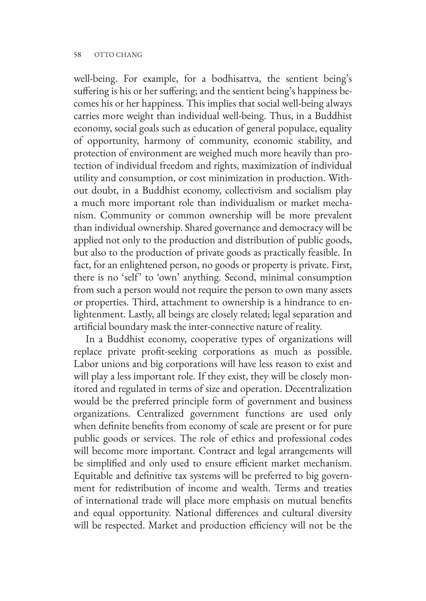well-being. For example, for a bodhisattva, the sentient being's suffering is his or her suffering; and the sentient being's happiness becomes his or her happiness. This implies that social well-being always carries more weight than individual well-being. Thus, in a Buddhist economy, social goals such as education of general populace, equality of opportunity, harmony of community, economic stability, and protection of environment are weighed much more heavily than protection of individual freedom and rights, maximization of individual utility and consumption, or cost minimization in production. Without doubt, in a Buddhist economy, collectivism and socialism play a much more important role than individualism or market mechanism. Community or common ownership will be more prevalent than individual ownership. Shared governance and democracy will be applied not only to the production and distribution of public goods, but also to the production of private goods as practically feasible. In fact, for an enlightened person, no goods or property is private. First, there is no 'self' to 'own' anything. Second, minimal consumption from such a person would not require the person to own many assets or properties. Third, attachment to ownership is a hindrance to enlightenment. Lastly, all beings are closely related; legal separation and artificial boundary mask the inter-connective nature of reality.

In a Buddhist economy, cooperative types of organizations will replace private profit-seeking corporations as much as possible. Labor unions and big corporations will have less reason to exist and will play a less important role. If they exist, they will be closely monitored and regulated in terms of size and operation. Decentralization would be the preferred principle form of government and business organizations. Centralized government functions are used only when definite benefits from economy of scale are present or for pure public goods or services. The role of ethics and professional codes will become more important. Contract and legal arrangements will be simplified and only used to ensure efficient market mechanism. Equitable and definitive tax systems will be preferred to big government for redistribution of income and wealth. Terms and treaties of international trade will place more emphasis on mutual benefits and equal opportunity. National differences and cultural diversity will be respected. Market and production efficiency will not be the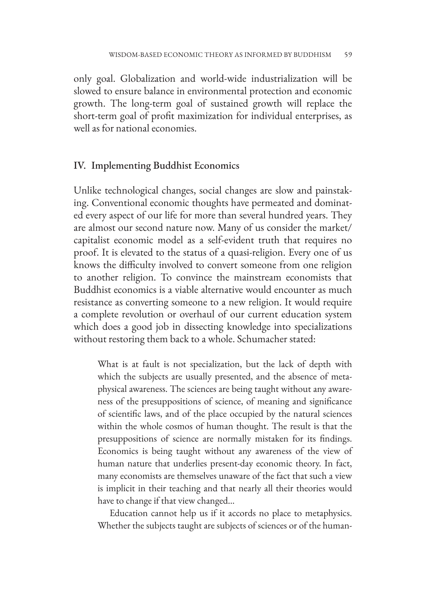only goal. Globalization and world-wide industrialization will be slowed to ensure balance in environmental protection and economic growth. The long-term goal of sustained growth will replace the short-term goal of profit maximization for individual enterprises, as well as for national economies.

#### IV. Implementing Buddhist Economics

Unlike technological changes, social changes are slow and painstaking. Conventional economic thoughts have permeated and dominated every aspect of our life for more than several hundred years. They are almost our second nature now. Many of us consider the market/ capitalist economic model as a self-evident truth that requires no proof. It is elevated to the status of a quasi-religion. Every one of us knows the difficulty involved to convert someone from one religion to another religion. To convince the mainstream economists that Buddhist economics is a viable alternative would encounter as much resistance as converting someone to a new religion. It would require a complete revolution or overhaul of our current education system which does a good job in dissecting knowledge into specializations without restoring them back to a whole. Schumacher stated:

What is at fault is not specialization, but the lack of depth with which the subjects are usually presented, and the absence of metaphysical awareness. The sciences are being taught without any awareness of the presuppositions of science, of meaning and significance of scientific laws, and of the place occupied by the natural sciences within the whole cosmos of human thought. The result is that the presuppositions of science are normally mistaken for its findings. Economics is being taught without any awareness of the view of human nature that underlies present-day economic theory. In fact, many economists are themselves unaware of the fact that such a view is implicit in their teaching and that nearly all their theories would have to change if that view changed…

Education cannot help us if it accords no place to metaphysics. Whether the subjects taught are subjects of sciences or of the human-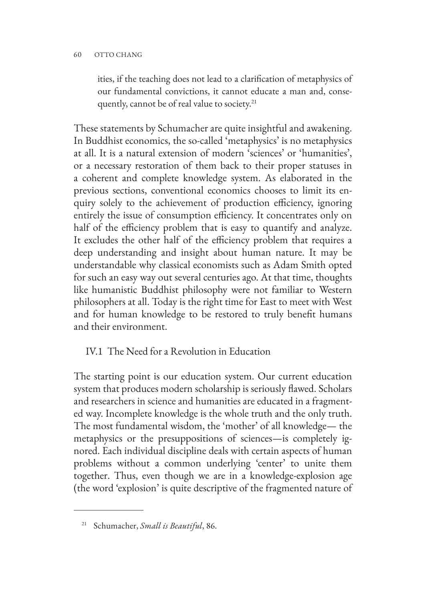#### 60 OTTO CHANG

ities, if the teaching does not lead to a clarification of metaphysics of our fundamental convictions, it cannot educate a man and, consequently, cannot be of real value to society.<sup>21</sup>

These statements by Schumacher are quite insightful and awakening. In Buddhist economics, the so-called 'metaphysics' is no metaphysics at all. It is a natural extension of modern 'sciences' or 'humanities', or a necessary restoration of them back to their proper statuses in a coherent and complete knowledge system. As elaborated in the previous sections, conventional economics chooses to limit its enquiry solely to the achievement of production efficiency, ignoring entirely the issue of consumption efficiency. It concentrates only on half of the efficiency problem that is easy to quantify and analyze. It excludes the other half of the efficiency problem that requires a deep understanding and insight about human nature. It may be understandable why classical economists such as Adam Smith opted for such an easy way out several centuries ago. At that time, thoughts like humanistic Buddhist philosophy were not familiar to Western philosophers at all. Today is the right time for East to meet with West and for human knowledge to be restored to truly benefit humans and their environment.

## IV.1 The Need for a Revolution in Education

The starting point is our education system. Our current education system that produces modern scholarship is seriously flawed. Scholars and researchers in science and humanities are educated in a fragmented way. Incomplete knowledge is the whole truth and the only truth. The most fundamental wisdom, the 'mother' of all knowledge— the metaphysics or the presuppositions of sciences—is completely ignored. Each individual discipline deals with certain aspects of human problems without a common underlying 'center' to unite them together. Thus, even though we are in a knowledge-explosion age (the word 'explosion' is quite descriptive of the fragmented nature of

<sup>21</sup> Schumacher, *Small is Beautiful*, 86.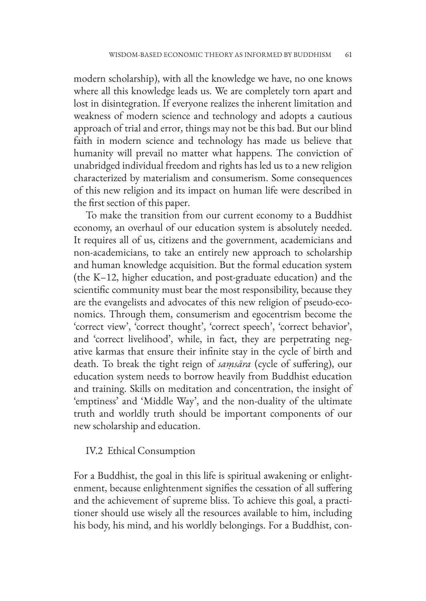modern scholarship), with all the knowledge we have, no one knows where all this knowledge leads us. We are completely torn apart and lost in disintegration. If everyone realizes the inherent limitation and weakness of modern science and technology and adopts a cautious approach of trial and error, things may not be this bad. But our blind faith in modern science and technology has made us believe that humanity will prevail no matter what happens. The conviction of unabridged individual freedom and rights has led us to a new religion characterized by materialism and consumerism. Some consequences of this new religion and its impact on human life were described in the first section of this paper.

To make the transition from our current economy to a Buddhist economy, an overhaul of our education system is absolutely needed. It requires all of us, citizens and the government, academicians and non-academicians, to take an entirely new approach to scholarship and human knowledge acquisition. But the formal education system (the K–12, higher education, and post-graduate education) and the scientific community must bear the most responsibility, because they are the evangelists and advocates of this new religion of pseudo-economics. Through them, consumerism and egocentrism become the 'correct view', 'correct thought', 'correct speech', 'correct behavior', and 'correct livelihood', while, in fact, they are perpetrating negative karmas that ensure their infinite stay in the cycle of birth and death. To break the tight reign of *saṃsāra* (cycle of suffering), our education system needs to borrow heavily from Buddhist education and training. Skills on meditation and concentration, the insight of 'emptiness' and 'Middle Way', and the non-duality of the ultimate truth and worldly truth should be important components of our new scholarship and education.

#### IV.2 Ethical Consumption

For a Buddhist, the goal in this life is spiritual awakening or enlightenment, because enlightenment signifies the cessation of all suffering and the achievement of supreme bliss. To achieve this goal, a practitioner should use wisely all the resources available to him, including his body, his mind, and his worldly belongings. For a Buddhist, con-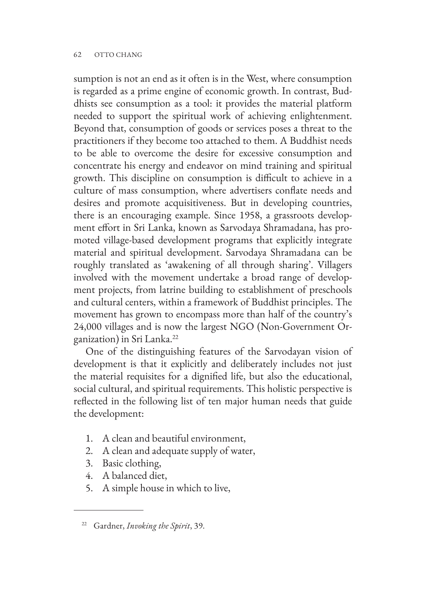#### 62 OTTO CHANG

sumption is not an end as it often is in the West, where consumption is regarded as a prime engine of economic growth. In contrast, Buddhists see consumption as a tool: it provides the material platform needed to support the spiritual work of achieving enlightenment. Beyond that, consumption of goods or services poses a threat to the practitioners if they become too attached to them. A Buddhist needs to be able to overcome the desire for excessive consumption and concentrate his energy and endeavor on mind training and spiritual growth. This discipline on consumption is difficult to achieve in a culture of mass consumption, where advertisers conflate needs and desires and promote acquisitiveness. But in developing countries, there is an encouraging example. Since 1958, a grassroots development effort in Sri Lanka, known as Sarvodaya Shramadana, has promoted village-based development programs that explicitly integrate material and spiritual development. Sarvodaya Shramadana can be roughly translated as 'awakening of all through sharing'. Villagers involved with the movement undertake a broad range of development projects, from latrine building to establishment of preschools and cultural centers, within a framework of Buddhist principles. The movement has grown to encompass more than half of the country's 24,000 villages and is now the largest NGO (Non-Government Organization) in Sri Lanka.22

One of the distinguishing features of the Sarvodayan vision of development is that it explicitly and deliberately includes not just the material requisites for a dignified life, but also the educational, social cultural, and spiritual requirements. This holistic perspective is reflected in the following list of ten major human needs that guide the development:

- 1. A clean and beautiful environment,
- 2. A clean and adequate supply of water,
- 3. Basic clothing,
- 4. A balanced diet,
- 5. A simple house in which to live,

<sup>22</sup> Gardner, *Invoking the Spirit*, 39.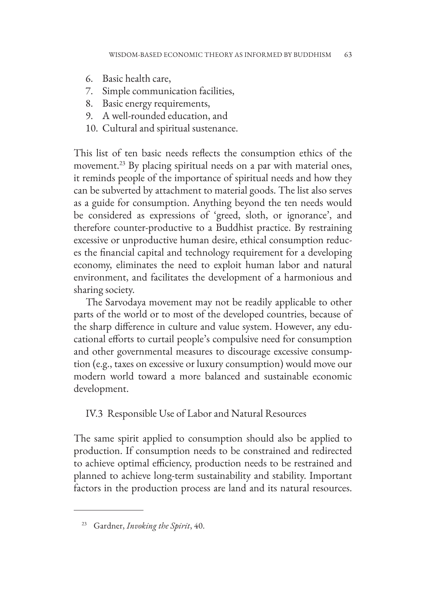- 6. Basic health care,
- 7. Simple communication facilities,
- 8. Basic energy requirements,
- 9. A well-rounded education, and
- 10. Cultural and spiritual sustenance.

This list of ten basic needs reflects the consumption ethics of the movement.<sup>23</sup> By placing spiritual needs on a par with material ones, it reminds people of the importance of spiritual needs and how they can be subverted by attachment to material goods. The list also serves as a guide for consumption. Anything beyond the ten needs would be considered as expressions of 'greed, sloth, or ignorance', and therefore counter-productive to a Buddhist practice. By restraining excessive or unproductive human desire, ethical consumption reduces the financial capital and technology requirement for a developing economy, eliminates the need to exploit human labor and natural environment, and facilitates the development of a harmonious and sharing society.

The Sarvodaya movement may not be readily applicable to other parts of the world or to most of the developed countries, because of the sharp difference in culture and value system. However, any educational efforts to curtail people's compulsive need for consumption and other governmental measures to discourage excessive consumption (e.g., taxes on excessive or luxury consumption) would move our modern world toward a more balanced and sustainable economic development.

### IV.3 Responsible Use of Labor and Natural Resources

The same spirit applied to consumption should also be applied to production. If consumption needs to be constrained and redirected to achieve optimal efficiency, production needs to be restrained and planned to achieve long-term sustainability and stability. Important factors in the production process are land and its natural resources.

<sup>23</sup> Gardner, *Invoking the Spirit*, 40.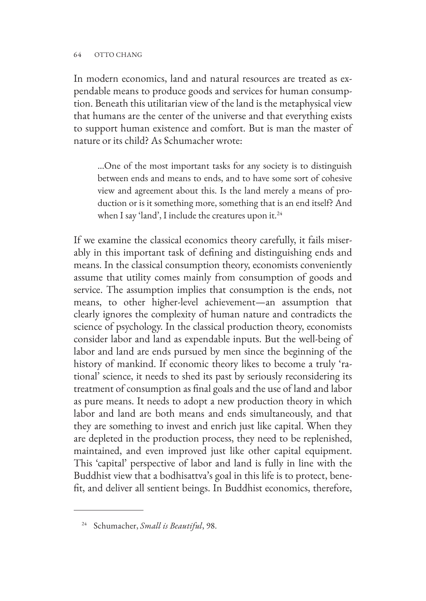In modern economics, land and natural resources are treated as expendable means to produce goods and services for human consumption. Beneath this utilitarian view of the land is the metaphysical view that humans are the center of the universe and that everything exists to support human existence and comfort. But is man the master of nature or its child? As Schumacher wrote:

…One of the most important tasks for any society is to distinguish between ends and means to ends, and to have some sort of cohesive view and agreement about this. Is the land merely a means of production or is it something more, something that is an end itself? And when I say 'land', I include the creatures upon it. $^{24}$ 

If we examine the classical economics theory carefully, it fails miserably in this important task of defining and distinguishing ends and means. In the classical consumption theory, economists conveniently assume that utility comes mainly from consumption of goods and service. The assumption implies that consumption is the ends, not means, to other higher-level achievement—an assumption that clearly ignores the complexity of human nature and contradicts the science of psychology. In the classical production theory, economists consider labor and land as expendable inputs. But the well-being of labor and land are ends pursued by men since the beginning of the history of mankind. If economic theory likes to become a truly 'rational' science, it needs to shed its past by seriously reconsidering its treatment of consumption as final goals and the use of land and labor as pure means. It needs to adopt a new production theory in which labor and land are both means and ends simultaneously, and that they are something to invest and enrich just like capital. When they are depleted in the production process, they need to be replenished, maintained, and even improved just like other capital equipment. This 'capital' perspective of labor and land is fully in line with the Buddhist view that a bodhisattva's goal in this life is to protect, benefit, and deliver all sentient beings. In Buddhist economics, therefore,

<sup>24</sup> Schumacher, *Small is Beautiful*, 98.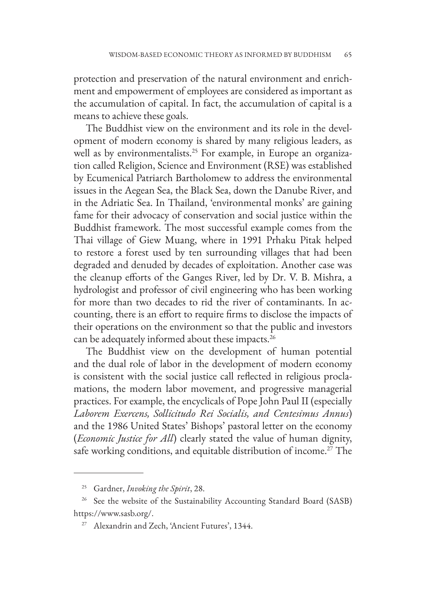protection and preservation of the natural environment and enrichment and empowerment of employees are considered as important as the accumulation of capital. In fact, the accumulation of capital is a means to achieve these goals.

The Buddhist view on the environment and its role in the development of modern economy is shared by many religious leaders, as well as by environmentalists.<sup>25</sup> For example, in Europe an organization called Religion, Science and Environment (RSE) was established by Ecumenical Patriarch Bartholomew to address the environmental issues in the Aegean Sea, the Black Sea, down the Danube River, and in the Adriatic Sea. In Thailand, 'environmental monks' are gaining fame for their advocacy of conservation and social justice within the Buddhist framework. The most successful example comes from the Thai village of Giew Muang, where in 1991 Prhaku Pitak helped to restore a forest used by ten surrounding villages that had been degraded and denuded by decades of exploitation. Another case was the cleanup efforts of the Ganges River, led by Dr. V. B. Mishra, a hydrologist and professor of civil engineering who has been working for more than two decades to rid the river of contaminants. In accounting, there is an effort to require firms to disclose the impacts of their operations on the environment so that the public and investors can be adequately informed about these impacts.26

The Buddhist view on the development of human potential and the dual role of labor in the development of modern economy is consistent with the social justice call reflected in religious proclamations, the modern labor movement, and progressive managerial practices. For example, the encyclicals of Pope John Paul II (especially *Laborem Exercens, Sollicitudo Rei Socialis, and Centesimus Annus*) and the 1986 United States' Bishops' pastoral letter on the economy (*Economic Justice for All*) clearly stated the value of human dignity, safe working conditions, and equitable distribution of income.<sup>27</sup> The

<sup>25</sup> Gardner, *Invoking the Spirit*, 28.

<sup>&</sup>lt;sup>26</sup> See the website of the Sustainability Accounting Standard Board (SASB) https://www.sasb.org/.

<sup>&</sup>lt;sup>27</sup> Alexandrin and Zech, 'Ancient Futures', 1344.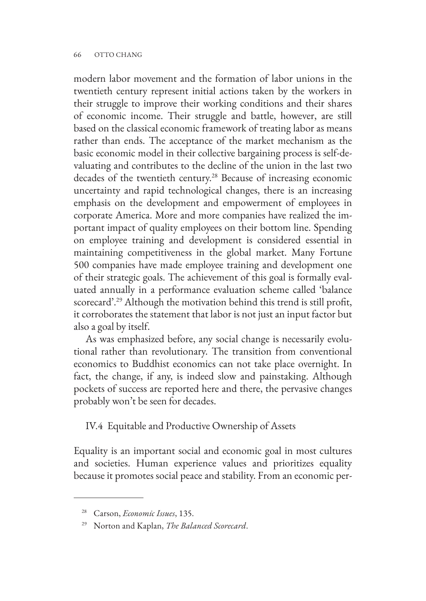modern labor movement and the formation of labor unions in the twentieth century represent initial actions taken by the workers in their struggle to improve their working conditions and their shares of economic income. Their struggle and battle, however, are still based on the classical economic framework of treating labor as means rather than ends. The acceptance of the market mechanism as the basic economic model in their collective bargaining process is self-devaluating and contributes to the decline of the union in the last two decades of the twentieth century.28 Because of increasing economic uncertainty and rapid technological changes, there is an increasing emphasis on the development and empowerment of employees in corporate America. More and more companies have realized the important impact of quality employees on their bottom line. Spending on employee training and development is considered essential in maintaining competitiveness in the global market. Many Fortune 500 companies have made employee training and development one of their strategic goals. The achievement of this goal is formally evaluated annually in a performance evaluation scheme called 'balance scorecard'.29 Although the motivation behind this trend is still profit, it corroborates the statement that labor is not just an input factor but also a goal by itself.

As was emphasized before, any social change is necessarily evolutional rather than revolutionary. The transition from conventional economics to Buddhist economics can not take place overnight. In fact, the change, if any, is indeed slow and painstaking. Although pockets of success are reported here and there, the pervasive changes probably won't be seen for decades.

IV.4 Equitable and Productive Ownership of Assets

Equality is an important social and economic goal in most cultures and societies. Human experience values and prioritizes equality because it promotes social peace and stability. From an economic per-

<sup>28</sup> Carson, *Economic Issues*, 135.

<sup>29</sup> Norton and Kaplan, *The Balanced Scorecard*.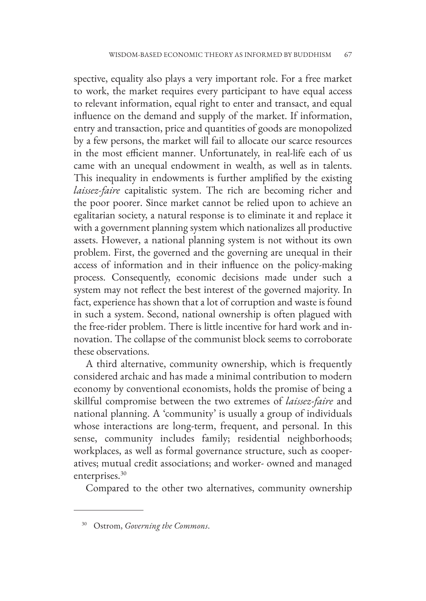spective, equality also plays a very important role. For a free market to work, the market requires every participant to have equal access to relevant information, equal right to enter and transact, and equal influence on the demand and supply of the market. If information, entry and transaction, price and quantities of goods are monopolized by a few persons, the market will fail to allocate our scarce resources in the most efficient manner. Unfortunately, in real-life each of us came with an unequal endowment in wealth, as well as in talents. This inequality in endowments is further amplified by the existing *laissez-faire* capitalistic system. The rich are becoming richer and the poor poorer. Since market cannot be relied upon to achieve an egalitarian society, a natural response is to eliminate it and replace it with a government planning system which nationalizes all productive assets. However, a national planning system is not without its own problem. First, the governed and the governing are unequal in their access of information and in their influence on the policy-making process. Consequently, economic decisions made under such a system may not reflect the best interest of the governed majority. In fact, experience has shown that a lot of corruption and waste is found in such a system. Second, national ownership is often plagued with the free-rider problem. There is little incentive for hard work and innovation. The collapse of the communist block seems to corroborate these observations.

A third alternative, community ownership, which is frequently considered archaic and has made a minimal contribution to modern economy by conventional economists, holds the promise of being a skillful compromise between the two extremes of *laissez-faire* and national planning. A 'community' is usually a group of individuals whose interactions are long-term, frequent, and personal. In this sense, community includes family; residential neighborhoods; workplaces, as well as formal governance structure, such as cooperatives; mutual credit associations; and worker- owned and managed enterprises.<sup>30</sup>

Compared to the other two alternatives, community ownership

<sup>30</sup> Ostrom, *Governing the Commons*.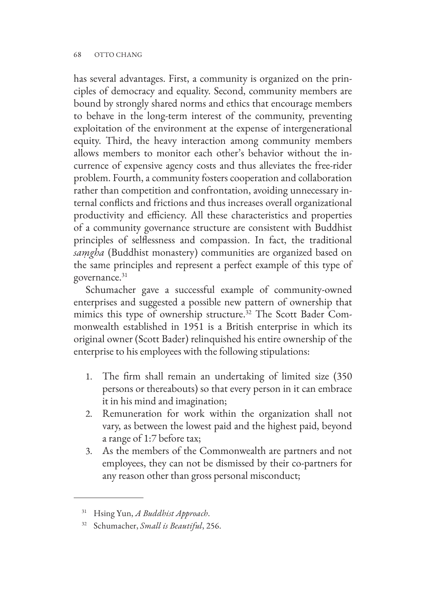has several advantages. First, a community is organized on the principles of democracy and equality. Second, community members are bound by strongly shared norms and ethics that encourage members to behave in the long-term interest of the community, preventing exploitation of the environment at the expense of intergenerational equity. Third, the heavy interaction among community members allows members to monitor each other's behavior without the incurrence of expensive agency costs and thus alleviates the free-rider problem. Fourth, a community fosters cooperation and collaboration rather than competition and confrontation, avoiding unnecessary internal conflicts and frictions and thus increases overall organizational productivity and efficiency. All these characteristics and properties of a community governance structure are consistent with Buddhist principles of selflessness and compassion. In fact, the traditional *saṃgha* (Buddhist monastery) communities are organized based on the same principles and represent a perfect example of this type of governance.<sup>31</sup>

Schumacher gave a successful example of community-owned enterprises and suggested a possible new pattern of ownership that mimics this type of ownership structure.32 The Scott Bader Commonwealth established in 1951 is a British enterprise in which its original owner (Scott Bader) relinquished his entire ownership of the enterprise to his employees with the following stipulations:

- 1. The firm shall remain an undertaking of limited size (350 persons or thereabouts) so that every person in it can embrace it in his mind and imagination;
- 2. Remuneration for work within the organization shall not vary, as between the lowest paid and the highest paid, beyond a range of 1:7 before tax;
- 3. As the members of the Commonwealth are partners and not employees, they can not be dismissed by their co-partners for any reason other than gross personal misconduct;

<sup>31</sup> Hsing Yun, *A Buddhist Approach*.

<sup>32</sup> Schumacher, *Small is Beautiful*, 256.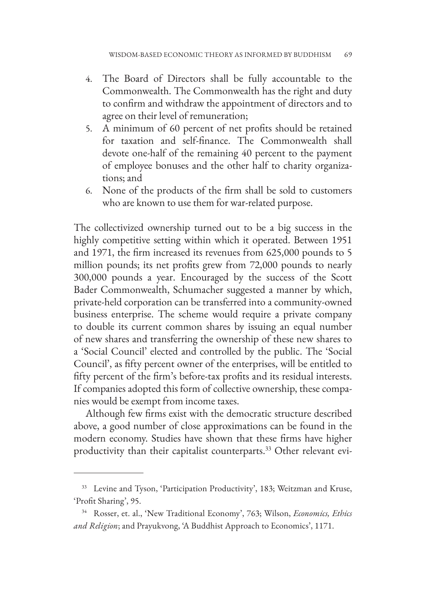- 4. The Board of Directors shall be fully accountable to the Commonwealth. The Commonwealth has the right and duty to confirm and withdraw the appointment of directors and to agree on their level of remuneration;
- 5. A minimum of 60 percent of net profits should be retained for taxation and self-finance. The Commonwealth shall devote one-half of the remaining 40 percent to the payment of employee bonuses and the other half to charity organizations; and
- 6. None of the products of the firm shall be sold to customers who are known to use them for war-related purpose.

The collectivized ownership turned out to be a big success in the highly competitive setting within which it operated. Between 1951 and 1971, the firm increased its revenues from 625,000 pounds to 5 million pounds; its net profits grew from 72,000 pounds to nearly 300,000 pounds a year. Encouraged by the success of the Scott Bader Commonwealth, Schumacher suggested a manner by which, private-held corporation can be transferred into a community-owned business enterprise. The scheme would require a private company to double its current common shares by issuing an equal number of new shares and transferring the ownership of these new shares to a 'Social Council' elected and controlled by the public. The 'Social Council', as fifty percent owner of the enterprises, will be entitled to fifty percent of the firm's before-tax profits and its residual interests. If companies adopted this form of collective ownership, these companies would be exempt from income taxes.

Although few firms exist with the democratic structure described above, a good number of close approximations can be found in the modern economy. Studies have shown that these firms have higher productivity than their capitalist counterparts.<sup>33</sup> Other relevant evi-

<sup>&</sup>lt;sup>33</sup> Levine and Tyson, 'Participation Productivity', 183; Weitzman and Kruse, 'Profit Sharing', 95.

<sup>34</sup> Rosser, et. al., 'New Traditional Economy', 763; Wilson, *Economics, Ethics and Religion*; and Prayukvong, 'A Buddhist Approach to Economics', 1171.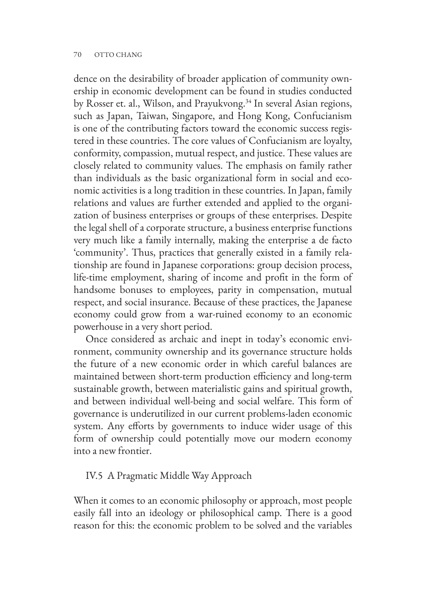#### 70 OTTO CHANG

dence on the desirability of broader application of community ownership in economic development can be found in studies conducted by Rosser et. al., Wilson, and Prayukvong.<sup>34</sup> In several Asian regions, such as Japan, Taiwan, Singapore, and Hong Kong, Confucianism is one of the contributing factors toward the economic success registered in these countries. The core values of Confucianism are loyalty, conformity, compassion, mutual respect, and justice. These values are closely related to community values. The emphasis on family rather than individuals as the basic organizational form in social and economic activities is a long tradition in these countries. In Japan, family relations and values are further extended and applied to the organization of business enterprises or groups of these enterprises. Despite the legal shell of a corporate structure, a business enterprise functions very much like a family internally, making the enterprise a de facto 'community'. Thus, practices that generally existed in a family relationship are found in Japanese corporations: group decision process, life-time employment, sharing of income and profit in the form of handsome bonuses to employees, parity in compensation, mutual respect, and social insurance. Because of these practices, the Japanese economy could grow from a war-ruined economy to an economic powerhouse in a very short period.

Once considered as archaic and inept in today's economic environment, community ownership and its governance structure holds the future of a new economic order in which careful balances are maintained between short-term production efficiency and long-term sustainable growth, between materialistic gains and spiritual growth, and between individual well-being and social welfare. This form of governance is underutilized in our current problems-laden economic system. Any efforts by governments to induce wider usage of this form of ownership could potentially move our modern economy into a new frontier.

#### IV.5 A Pragmatic Middle Way Approach

When it comes to an economic philosophy or approach, most people easily fall into an ideology or philosophical camp. There is a good reason for this: the economic problem to be solved and the variables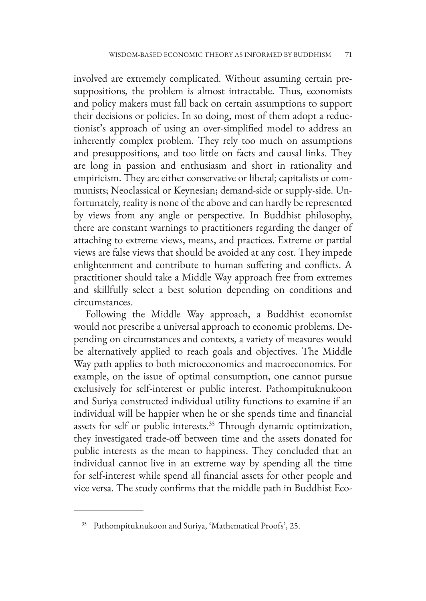involved are extremely complicated. Without assuming certain presuppositions, the problem is almost intractable. Thus, economists and policy makers must fall back on certain assumptions to support their decisions or policies. In so doing, most of them adopt a reductionist's approach of using an over-simplified model to address an inherently complex problem. They rely too much on assumptions and presuppositions, and too little on facts and causal links. They are long in passion and enthusiasm and short in rationality and empiricism. They are either conservative or liberal; capitalists or communists; Neoclassical or Keynesian; demand-side or supply-side. Unfortunately, reality is none of the above and can hardly be represented by views from any angle or perspective. In Buddhist philosophy, there are constant warnings to practitioners regarding the danger of attaching to extreme views, means, and practices. Extreme or partial views are false views that should be avoided at any cost. They impede enlightenment and contribute to human suffering and conflicts. A practitioner should take a Middle Way approach free from extremes and skillfully select a best solution depending on conditions and circumstances.

Following the Middle Way approach, a Buddhist economist would not prescribe a universal approach to economic problems. Depending on circumstances and contexts, a variety of measures would be alternatively applied to reach goals and objectives. The Middle Way path applies to both microeconomics and macroeconomics. For example, on the issue of optimal consumption, one cannot pursue exclusively for self-interest or public interest. Pathompituknukoon and Suriya constructed individual utility functions to examine if an individual will be happier when he or she spends time and financial assets for self or public interests.<sup>35</sup> Through dynamic optimization, they investigated trade-off between time and the assets donated for public interests as the mean to happiness. They concluded that an individual cannot live in an extreme way by spending all the time for self-interest while spend all financial assets for other people and vice versa. The study confirms that the middle path in Buddhist Eco-

Pathompituknukoon and Suriya, 'Mathematical Proofs', 25.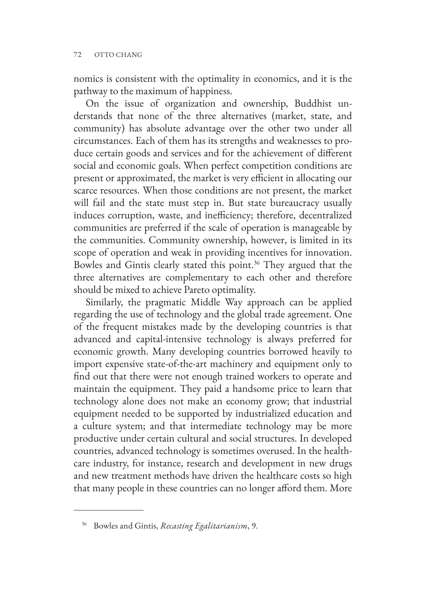nomics is consistent with the optimality in economics, and it is the pathway to the maximum of happiness.

On the issue of organization and ownership, Buddhist understands that none of the three alternatives (market, state, and community) has absolute advantage over the other two under all circumstances. Each of them has its strengths and weaknesses to produce certain goods and services and for the achievement of different social and economic goals. When perfect competition conditions are present or approximated, the market is very efficient in allocating our scarce resources. When those conditions are not present, the market will fail and the state must step in. But state bureaucracy usually induces corruption, waste, and inefficiency; therefore, decentralized communities are preferred if the scale of operation is manageable by the communities. Community ownership, however, is limited in its scope of operation and weak in providing incentives for innovation. Bowles and Gintis clearly stated this point.<sup>36</sup> They argued that the three alternatives are complementary to each other and therefore should be mixed to achieve Pareto optimality.

Similarly, the pragmatic Middle Way approach can be applied regarding the use of technology and the global trade agreement. One of the frequent mistakes made by the developing countries is that advanced and capital-intensive technology is always preferred for economic growth. Many developing countries borrowed heavily to import expensive state-of-the-art machinery and equipment only to find out that there were not enough trained workers to operate and maintain the equipment. They paid a handsome price to learn that technology alone does not make an economy grow; that industrial equipment needed to be supported by industrialized education and a culture system; and that intermediate technology may be more productive under certain cultural and social structures. In developed countries, advanced technology is sometimes overused. In the healthcare industry, for instance, research and development in new drugs and new treatment methods have driven the healthcare costs so high that many people in these countries can no longer afford them. More

<sup>36</sup> Bowles and Gintis, *Recasting Egalitarianism*, 9.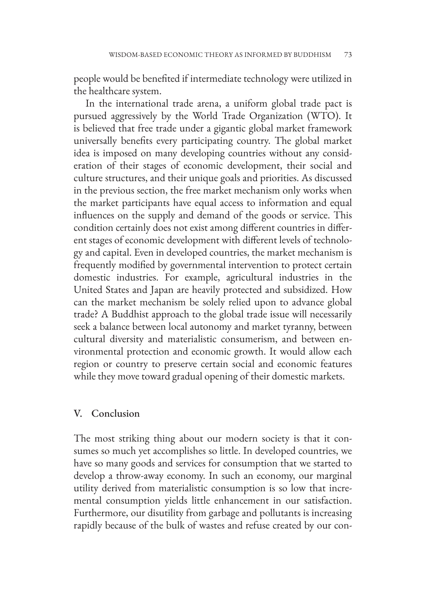people would be benefited if intermediate technology were utilized in the healthcare system.

In the international trade arena, a uniform global trade pact is pursued aggressively by the World Trade Organization (WTO). It is believed that free trade under a gigantic global market framework universally benefits every participating country. The global market idea is imposed on many developing countries without any consideration of their stages of economic development, their social and culture structures, and their unique goals and priorities. As discussed in the previous section, the free market mechanism only works when the market participants have equal access to information and equal influences on the supply and demand of the goods or service. This condition certainly does not exist among different countries in different stages of economic development with different levels of technology and capital. Even in developed countries, the market mechanism is frequently modified by governmental intervention to protect certain domestic industries. For example, agricultural industries in the United States and Japan are heavily protected and subsidized. How can the market mechanism be solely relied upon to advance global trade? A Buddhist approach to the global trade issue will necessarily seek a balance between local autonomy and market tyranny, between cultural diversity and materialistic consumerism, and between environmental protection and economic growth. It would allow each region or country to preserve certain social and economic features while they move toward gradual opening of their domestic markets.

#### V. Conclusion

The most striking thing about our modern society is that it consumes so much yet accomplishes so little. In developed countries, we have so many goods and services for consumption that we started to develop a throw-away economy. In such an economy, our marginal utility derived from materialistic consumption is so low that incremental consumption yields little enhancement in our satisfaction. Furthermore, our disutility from garbage and pollutants is increasing rapidly because of the bulk of wastes and refuse created by our con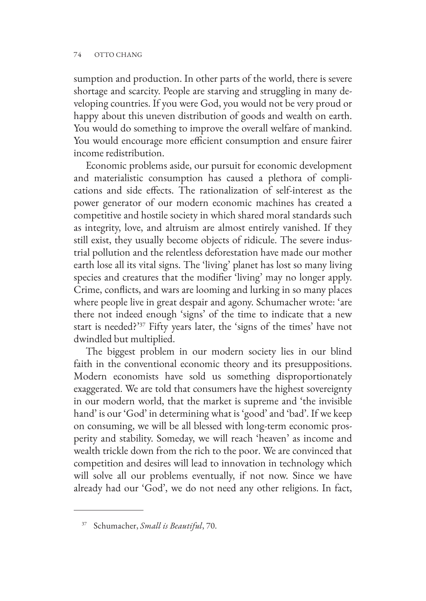sumption and production. In other parts of the world, there is severe shortage and scarcity. People are starving and struggling in many developing countries. If you were God, you would not be very proud or happy about this uneven distribution of goods and wealth on earth. You would do something to improve the overall welfare of mankind. You would encourage more efficient consumption and ensure fairer income redistribution.

Economic problems aside, our pursuit for economic development and materialistic consumption has caused a plethora of complications and side effects. The rationalization of self-interest as the power generator of our modern economic machines has created a competitive and hostile society in which shared moral standards such as integrity, love, and altruism are almost entirely vanished. If they still exist, they usually become objects of ridicule. The severe industrial pollution and the relentless deforestation have made our mother earth lose all its vital signs. The 'living' planet has lost so many living species and creatures that the modifier 'living' may no longer apply. Crime, conflicts, and wars are looming and lurking in so many places where people live in great despair and agony. Schumacher wrote: 'are there not indeed enough 'signs' of the time to indicate that a new start is needed?'37 Fifty years later, the 'signs of the times' have not dwindled but multiplied.

The biggest problem in our modern society lies in our blind faith in the conventional economic theory and its presuppositions. Modern economists have sold us something disproportionately exaggerated. We are told that consumers have the highest sovereignty in our modern world, that the market is supreme and 'the invisible hand' is our 'God' in determining what is 'good' and 'bad'. If we keep on consuming, we will be all blessed with long-term economic prosperity and stability. Someday, we will reach 'heaven' as income and wealth trickle down from the rich to the poor. We are convinced that competition and desires will lead to innovation in technology which will solve all our problems eventually, if not now. Since we have already had our 'God', we do not need any other religions. In fact,

<sup>37</sup> Schumacher, *Small is Beautiful*, 70.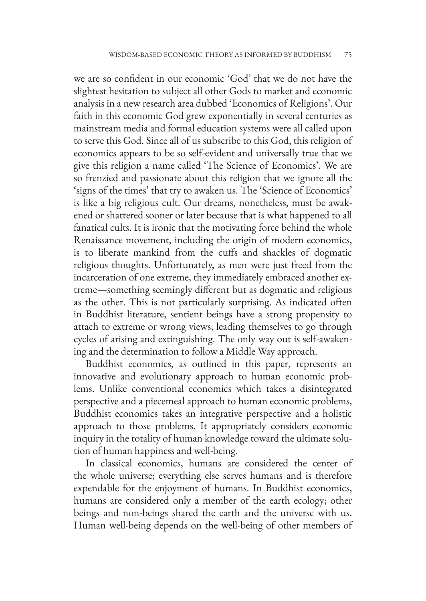we are so confident in our economic 'God' that we do not have the slightest hesitation to subject all other Gods to market and economic analysis in a new research area dubbed 'Economics of Religions'. Our faith in this economic God grew exponentially in several centuries as mainstream media and formal education systems were all called upon to serve this God. Since all of us subscribe to this God, this religion of economics appears to be so self-evident and universally true that we give this religion a name called 'The Science of Economics'. We are so frenzied and passionate about this religion that we ignore all the 'signs of the times' that try to awaken us. The 'Science of Economics' is like a big religious cult. Our dreams, nonetheless, must be awakened or shattered sooner or later because that is what happened to all fanatical cults. It is ironic that the motivating force behind the whole Renaissance movement, including the origin of modern economics, is to liberate mankind from the cuffs and shackles of dogmatic religious thoughts. Unfortunately, as men were just freed from the incarceration of one extreme, they immediately embraced another extreme—something seemingly different but as dogmatic and religious as the other. This is not particularly surprising. As indicated often in Buddhist literature, sentient beings have a strong propensity to attach to extreme or wrong views, leading themselves to go through cycles of arising and extinguishing. The only way out is self-awakening and the determination to follow a Middle Way approach.

Buddhist economics, as outlined in this paper, represents an innovative and evolutionary approach to human economic problems. Unlike conventional economics which takes a disintegrated perspective and a piecemeal approach to human economic problems, Buddhist economics takes an integrative perspective and a holistic approach to those problems. It appropriately considers economic inquiry in the totality of human knowledge toward the ultimate solution of human happiness and well-being.

In classical economics, humans are considered the center of the whole universe; everything else serves humans and is therefore expendable for the enjoyment of humans. In Buddhist economics, humans are considered only a member of the earth ecology; other beings and non-beings shared the earth and the universe with us. Human well-being depends on the well-being of other members of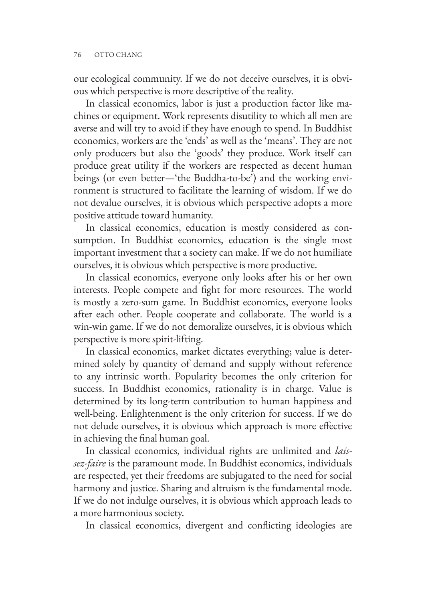our ecological community. If we do not deceive ourselves, it is obvious which perspective is more descriptive of the reality.

In classical economics, labor is just a production factor like machines or equipment. Work represents disutility to which all men are averse and will try to avoid if they have enough to spend. In Buddhist economics, workers are the 'ends' as well as the 'means'. They are not only producers but also the 'goods' they produce. Work itself can produce great utility if the workers are respected as decent human beings (or even better—'the Buddha-to-be') and the working environment is structured to facilitate the learning of wisdom. If we do not devalue ourselves, it is obvious which perspective adopts a more positive attitude toward humanity.

In classical economics, education is mostly considered as consumption. In Buddhist economics, education is the single most important investment that a society can make. If we do not humiliate ourselves, it is obvious which perspective is more productive.

In classical economics, everyone only looks after his or her own interests. People compete and fight for more resources. The world is mostly a zero-sum game. In Buddhist economics, everyone looks after each other. People cooperate and collaborate. The world is a win-win game. If we do not demoralize ourselves, it is obvious which perspective is more spirit-lifting.

In classical economics, market dictates everything; value is determined solely by quantity of demand and supply without reference to any intrinsic worth. Popularity becomes the only criterion for success. In Buddhist economics, rationality is in charge. Value is determined by its long-term contribution to human happiness and well-being. Enlightenment is the only criterion for success. If we do not delude ourselves, it is obvious which approach is more effective in achieving the final human goal.

In classical economics, individual rights are unlimited and *laissez-faire* is the paramount mode. In Buddhist economics, individuals are respected, yet their freedoms are subjugated to the need for social harmony and justice. Sharing and altruism is the fundamental mode. If we do not indulge ourselves, it is obvious which approach leads to a more harmonious society.

In classical economics, divergent and conflicting ideologies are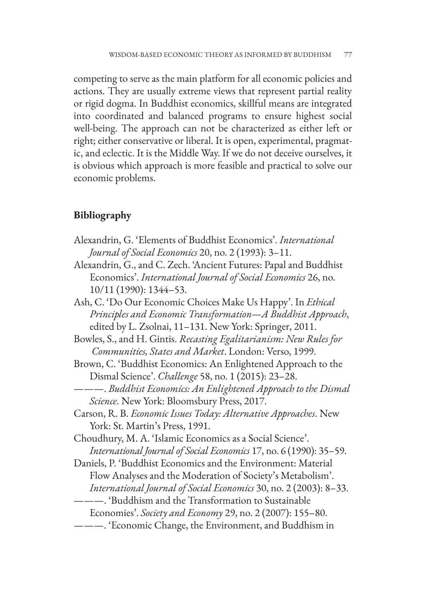competing to serve as the main platform for all economic policies and actions. They are usually extreme views that represent partial reality or rigid dogma. In Buddhist economics, skillful means are integrated into coordinated and balanced programs to ensure highest social well-being. The approach can not be characterized as either left or right; either conservative or liberal. It is open, experimental, pragmatic, and eclectic. It is the Middle Way. If we do not deceive ourselves, it is obvious which approach is more feasible and practical to solve our economic problems.

# **Bibliography**

- Alexandrin, G. 'Elements of Buddhist Economics'. *International Journal of Social Economics* 20, no. 2 (1993): 3–11.
- Alexandrin, G., and C. Zech. 'Ancient Futures: Papal and Buddhist Economics'. *International Journal of Social Economics* 26, no. 10/11 (1990): 1344–53.
- Ash, C. 'Do Our Economic Choices Make Us Happy'. In *Ethical Principles and Economic Transformation—A Buddhist Approach*, edited by L. Zsolnai, 11–131. New York: Springer, 2011.
- Bowles, S., and H. Gintis. *Recasting Egalitarianism: New Rules for Communities, States and Market*. London: Verso, 1999.
- Brown, C. 'Buddhist Economics: An Enlightened Approach to the Dismal Science'. *Challenge* 58, no. 1 (2015): 23–28.
- ———. *Buddhist Economics: An Enlightened Approach to the Dismal Science*. New York: Bloomsbury Press, 2017.
- Carson, R. B. *Economic Issues Today: Alternative Approaches*. New York: St. Martin's Press, 1991.
- Choudhury, M. A. 'Islamic Economics as a Social Science'. *International Journal of Social Economics* 17, no. 6 (1990): 35–59.
- Daniels, P. 'Buddhist Economics and the Environment: Material Flow Analyses and the Moderation of Society's Metabolism'. *International Journal of Social Economics* 30, no. 2 (2003): 8–33.

———. 'Economic Change, the Environment, and Buddhism in

<sup>———. &#</sup>x27;Buddhism and the Transformation to Sustainable

Economies'. *Society and Economy* 29, no. 2 (2007): 155–80.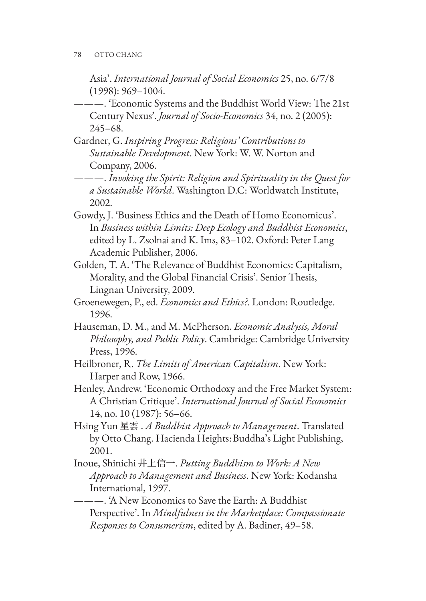Asia'. *International Journal of Social Economics* 25, no. 6/7/8 (1998): 969–1004.

- ———. 'Economic Systems and the Buddhist World View: The 21st Century Nexus'. *Journal of Socio-Economics* 34, no. 2 (2005): 245–68.
- Gardner, G. *Inspiring Progress: Religions' Contributions to Sustainable Development*. New York: W. W. Norton and Company, 2006.
- ———. *Invoking the Spirit: Religion and Spirituality in the Quest for a Sustainable World*. Washington D.C: Worldwatch Institute, 2002.
- Gowdy, J. 'Business Ethics and the Death of Homo Economicus'. In *Business within Limits: Deep Ecology and Buddhist Economics*, edited by L. Zsolnai and K. Ims, 83–102. Oxford: Peter Lang Academic Publisher, 2006.
- Golden, T. A. 'The Relevance of Buddhist Economics: Capitalism, Morality, and the Global Financial Crisis'. Senior Thesis, Lingnan University, 2009.
- Groenewegen, P., ed. *Economics and Ethics?*. London: Routledge. 1996.
- Hauseman, D. M., and M. McPherson. *Economic Analysis, Moral Philosophy, and Public Policy*. Cambridge: Cambridge University Press, 1996.
- Heilbroner, R. *The Limits of American Capitalism*. New York: Harper and Row, 1966.
- Henley, Andrew. 'Economic Orthodoxy and the Free Market System: A Christian Critique'. *International Journal of Social Economics* 14, no. 10 (1987): 56–66.
- Hsing Yun 星雲 . *A Buddhist Approach to Management*. Translated by Otto Chang. Hacienda Heights: Buddha's Light Publishing, 2001.
- Inoue, Shinichi 井上信一. *Putting Buddhism to Work: A New Approach to Management and Business*. New York: Kodansha International, 1997.

———. 'A New Economics to Save the Earth: A Buddhist Perspective'. In *Mindfulness in the Marketplace: Compassionate Responses to Consumerism*, edited by A. Badiner, 49–58.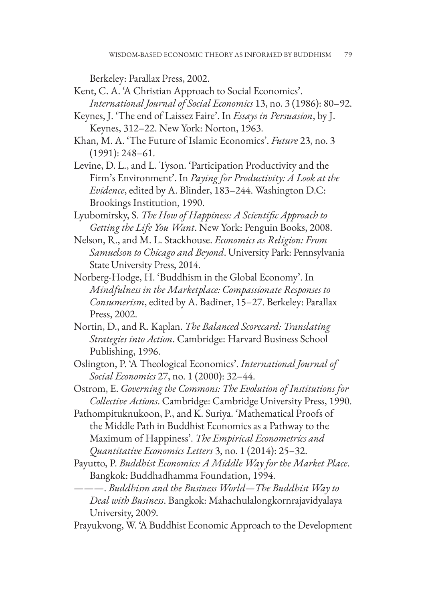Berkeley: Parallax Press, 2002.

- Kent, C. A. 'A Christian Approach to Social Economics'. *International Journal of Social Economics* 13, no. 3 (1986): 80–92.
- Keynes, J. 'The end of Laissez Faire'. In *Essays in Persuasion*, by J. Keynes, 312–22. New York: Norton, 1963.
- Khan, M. A. 'The Future of Islamic Economics'. *Future* 23, no. 3 (1991): 248–61.
- Levine, D. L., and L. Tyson. 'Participation Productivity and the Firm's Environment'. In *Paying for Productivity: A Look at the Evidence*, edited by A. Blinder, 183–244. Washington D.C: Brookings Institution, 1990.
- Lyubomirsky, S. *The How of Happiness: A Scientific Approach to Getting the Life You Want*. New York: Penguin Books, 2008.
- Nelson, R., and M. L. Stackhouse. *Economics as Religion: From Samuelson to Chicago and Beyond*. University Park: Pennsylvania State University Press, 2014.
- Norberg-Hodge, H. 'Buddhism in the Global Economy'. In *Mindfulness in the Marketplace: Compassionate Responses to Consumerism*, edited by A. Badiner, 15–27. Berkeley: Parallax Press, 2002.
- Nortin, D., and R. Kaplan. *The Balanced Scorecard: Translating Strategies into Action*. Cambridge: Harvard Business School Publishing, 1996.
- Oslington, P. 'A Theological Economics'. *International Journal of Social Economics* 27, no. 1 (2000): 32–44.
- Ostrom, E. *Governing the Commons: The Evolution of Institutions for Collective Actions*. Cambridge: Cambridge University Press, 1990.
- Pathompituknukoon, P., and K. Suriya. 'Mathematical Proofs of the Middle Path in Buddhist Economics as a Pathway to the Maximum of Happiness'. *The Empirical Econometrics and Quantitative Economics Letters* 3, no. 1 (2014): 25–32.
- Payutto, P. *Buddhist Economics: A Middle Way for the Market Place*. Bangkok: Buddhadhamma Foundation, 1994.
- ———. *Buddhism and the Business World—The Buddhist Way to Deal with Business*. Bangkok: Mahachulalongkornrajavidyalaya University, 2009.
- Prayukvong, W. 'A Buddhist Economic Approach to the Development